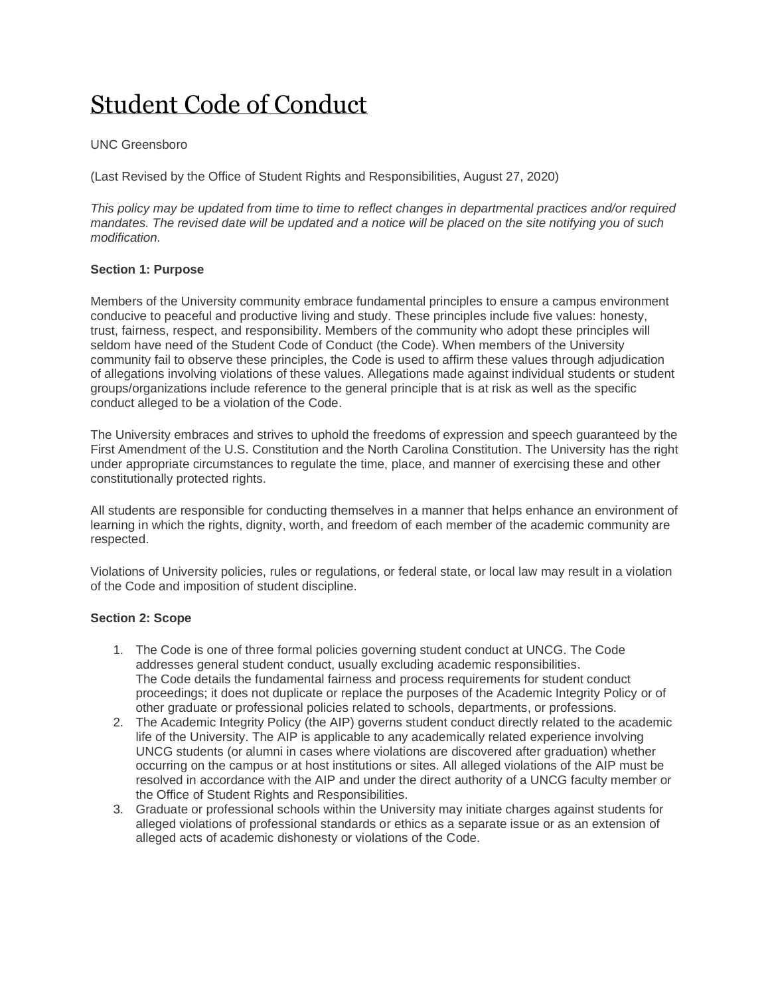# [Student Code of Conduct](http://sa.uncg.edu/handbook/student-code-of-conduct/)

## UNC Greensboro

(Last Revised by the Office of Student Rights and Responsibilities, August 27, 2020)

*This policy may be updated from time to time to reflect changes in departmental practices and/or required mandates. The revised date will be updated and a notice will be placed on the site notifying you of such modification.*

## **Section 1: Purpose**

Members of the University community embrace fundamental principles to ensure a campus environment conducive to peaceful and productive living and study. These principles include five values: honesty, trust, fairness, respect, and responsibility. Members of the community who adopt these principles will seldom have need of the Student Code of Conduct (the Code). When members of the University community fail to observe these principles, the Code is used to affirm these values through adjudication of allegations involving violations of these values. Allegations made against individual students or student groups/organizations include reference to the general principle that is at risk as well as the specific conduct alleged to be a violation of the Code.

The University embraces and strives to uphold the freedoms of expression and speech guaranteed by the First Amendment of the U.S. Constitution and the North Carolina Constitution. The University has the right under appropriate circumstances to regulate the time, place, and manner of exercising these and other constitutionally protected rights.

All students are responsible for conducting themselves in a manner that helps enhance an environment of learning in which the rights, dignity, worth, and freedom of each member of the academic community are respected.

Violations of University policies, rules or regulations, or federal state, or local law may result in a violation of the Code and imposition of student discipline.

#### **Section 2: Scope**

- 1. The Code is one of three formal policies governing student conduct at UNCG. The Code addresses general student conduct, usually excluding academic responsibilities. The Code details the fundamental fairness and process requirements for student conduct proceedings; it does not duplicate or replace the purposes of the Academic Integrity Policy or of other graduate or professional policies related to schools, departments, or professions.
- 2. The Academic Integrity Policy (the AIP) governs student conduct directly related to the academic life of the University. The AIP is applicable to any academically related experience involving UNCG students (or alumni in cases where violations are discovered after graduation) whether occurring on the campus or at host institutions or sites. All alleged violations of the AIP must be resolved in accordance with the AIP and under the direct authority of a UNCG faculty member or the Office of Student Rights and Responsibilities.
- 3. Graduate or professional schools within the University may initiate charges against students for alleged violations of professional standards or ethics as a separate issue or as an extension of alleged acts of academic dishonesty or violations of the Code.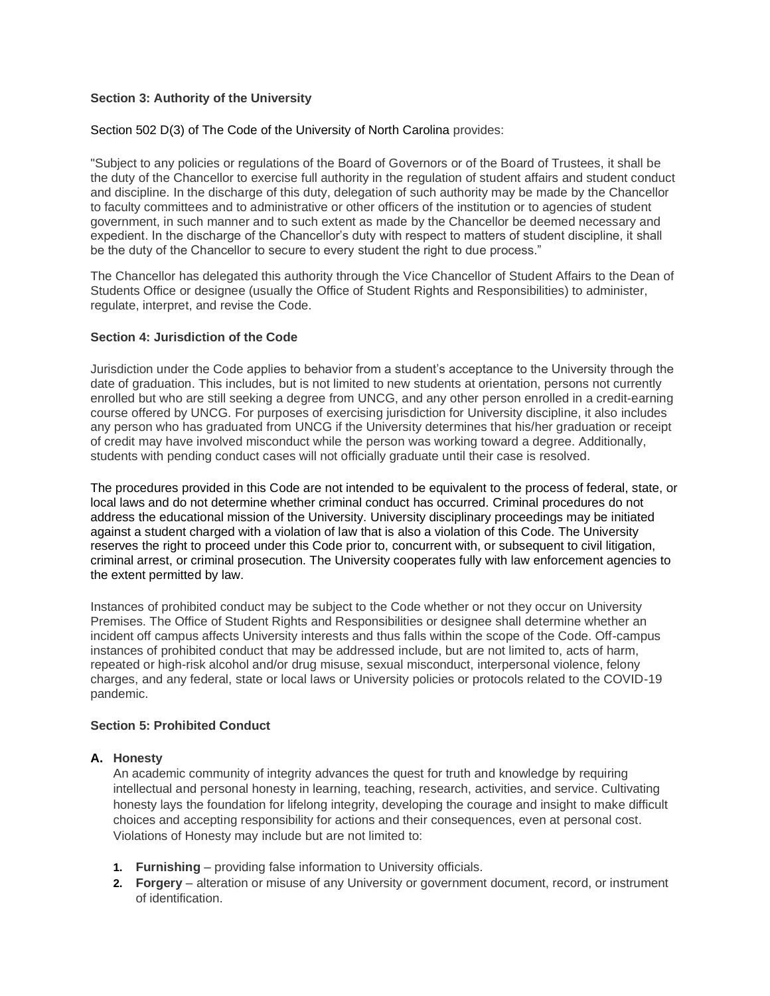## **Section 3: Authority of the University**

#### Section 502 D(3) of The Code of the University of North Carolina provides:

"Subject to any policies or regulations of the Board of Governors or of the Board of Trustees, it shall be the duty of the Chancellor to exercise full authority in the regulation of student affairs and student conduct and discipline. In the discharge of this duty, delegation of such authority may be made by the Chancellor to faculty committees and to administrative or other officers of the institution or to agencies of student government, in such manner and to such extent as made by the Chancellor be deemed necessary and expedient. In the discharge of the Chancellor's duty with respect to matters of student discipline, it shall be the duty of the Chancellor to secure to every student the right to due process."

The Chancellor has delegated this authority through the Vice Chancellor of Student Affairs to the Dean of Students Office or designee (usually the Office of Student Rights and Responsibilities) to administer, regulate, interpret, and revise the Code.

#### **Section 4: Jurisdiction of the Code**

Jurisdiction under the Code applies to behavior from a student's acceptance to the University through the date of graduation. This includes, but is not limited to new students at orientation, persons not currently enrolled but who are still seeking a degree from UNCG, and any other person enrolled in a credit-earning course offered by UNCG. For purposes of exercising jurisdiction for University discipline, it also includes any person who has graduated from UNCG if the University determines that his/her graduation or receipt of credit may have involved misconduct while the person was working toward a degree. Additionally, students with pending conduct cases will not officially graduate until their case is resolved.

The procedures provided in this Code are not intended to be equivalent to the process of federal, state, or local laws and do not determine whether criminal conduct has occurred. Criminal procedures do not address the educational mission of the University. University disciplinary proceedings may be initiated against a student charged with a violation of law that is also a violation of this Code. The University reserves the right to proceed under this Code prior to, concurrent with, or subsequent to civil litigation, criminal arrest, or criminal prosecution. The University cooperates fully with law enforcement agencies to the extent permitted by law.

Instances of prohibited conduct may be subject to the Code whether or not they occur on University Premises. The Office of Student Rights and Responsibilities or designee shall determine whether an incident off campus affects University interests and thus falls within the scope of the Code. Off-campus instances of prohibited conduct that may be addressed include, but are not limited to, acts of harm, repeated or high-risk alcohol and/or drug misuse, sexual misconduct, interpersonal violence, felony charges, and any federal, state or local laws or University policies or protocols related to the COVID-19 pandemic.

# **Section 5: Prohibited Conduct**

## **A. Honesty**

An academic community of integrity advances the quest for truth and knowledge by requiring intellectual and personal honesty in learning, teaching, research, activities, and service. Cultivating honesty lays the foundation for lifelong integrity, developing the courage and insight to make difficult choices and accepting responsibility for actions and their consequences, even at personal cost. Violations of Honesty may include but are not limited to:

- **1. Furnishing** providing false information to University officials.
- **2. Forgery** alteration or misuse of any University or government document, record, or instrument of identification.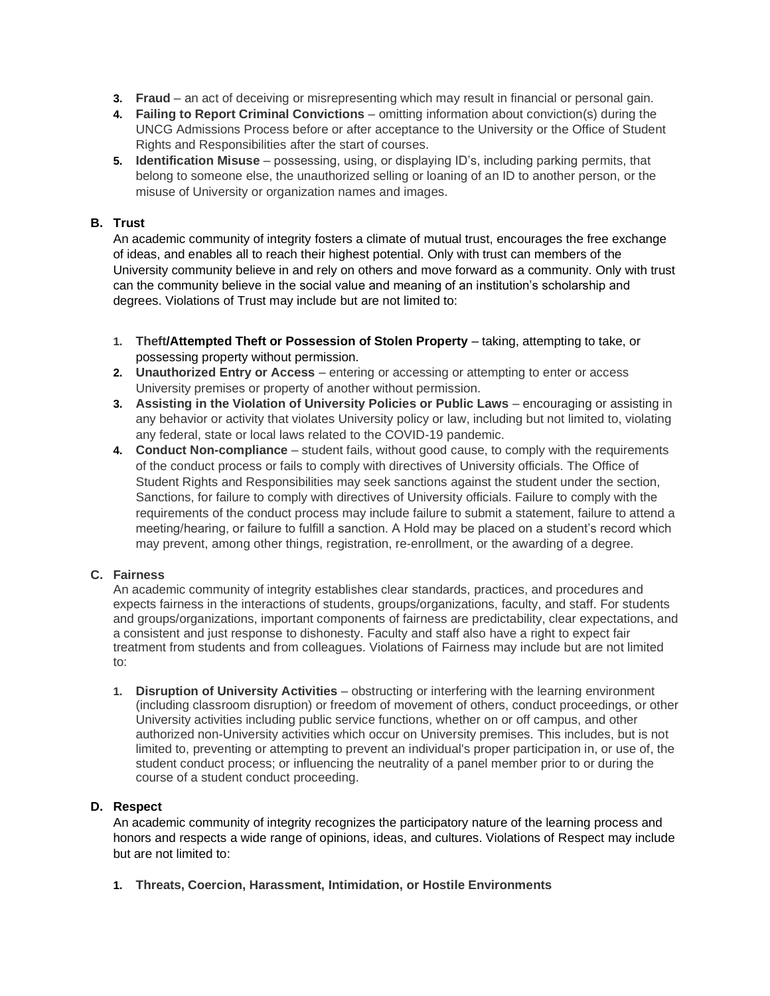- **3. Fraud** an act of deceiving or misrepresenting which may result in financial or personal gain.
- **4. Failing to Report Criminal Convictions** omitting information about conviction(s) during the UNCG Admissions Process before or after acceptance to the University or the Office of Student Rights and Responsibilities after the start of courses.
- **5. Identification Misuse** possessing, using, or displaying ID's, including parking permits, that belong to someone else, the unauthorized selling or loaning of an ID to another person, or the misuse of University or organization names and images.

# **B. Trust**

An academic community of integrity fosters a climate of mutual trust, encourages the free exchange of ideas, and enables all to reach their highest potential. Only with trust can members of the University community believe in and rely on others and move forward as a community. Only with trust can the community believe in the social value and meaning of an institution's scholarship and degrees. Violations of Trust may include but are not limited to:

- **1. Theft/Attempted Theft or Possession of Stolen Property** taking, attempting to take, or possessing property without permission.
- **2. Unauthorized Entry or Access** entering or accessing or attempting to enter or access University premises or property of another without permission.
- **3.** Assisting in the Violation of University Policies or Public Laws encouraging or assisting in any behavior or activity that violates University policy or law, including but not limited to, violating any federal, state or local laws related to the COVID-19 pandemic.
- **4. Conduct Non-compliance** student fails, without good cause, to comply with the requirements of the conduct process or fails to comply with directives of University officials. The Office of Student Rights and Responsibilities may seek sanctions against the student under the section, Sanctions, for failure to comply with directives of University officials. Failure to comply with the requirements of the conduct process may include failure to submit a statement, failure to attend a meeting/hearing, or failure to fulfill a sanction. A Hold may be placed on a student's record which may prevent, among other things, registration, re-enrollment, or the awarding of a degree.

# **C. Fairness**

An academic community of integrity establishes clear standards, practices, and procedures and expects fairness in the interactions of students, groups/organizations, faculty, and staff. For students and groups/organizations, important components of fairness are predictability, clear expectations, and a consistent and just response to dishonesty. Faculty and staff also have a right to expect fair treatment from students and from colleagues. Violations of Fairness may include but are not limited to:

**1. Disruption of University Activities** – obstructing or interfering with the learning environment (including classroom disruption) or freedom of movement of others, conduct proceedings, or other University activities including public service functions, whether on or off campus, and other authorized non-University activities which occur on University premises. This includes, but is not limited to, preventing or attempting to prevent an individual's proper participation in, or use of, the student conduct process; or influencing the neutrality of a panel member prior to or during the course of a student conduct proceeding.

# **D. Respect**

An academic community of integrity recognizes the participatory nature of the learning process and honors and respects a wide range of opinions, ideas, and cultures. Violations of Respect may include but are not limited to:

**1. Threats, Coercion, Harassment, Intimidation, or Hostile Environments**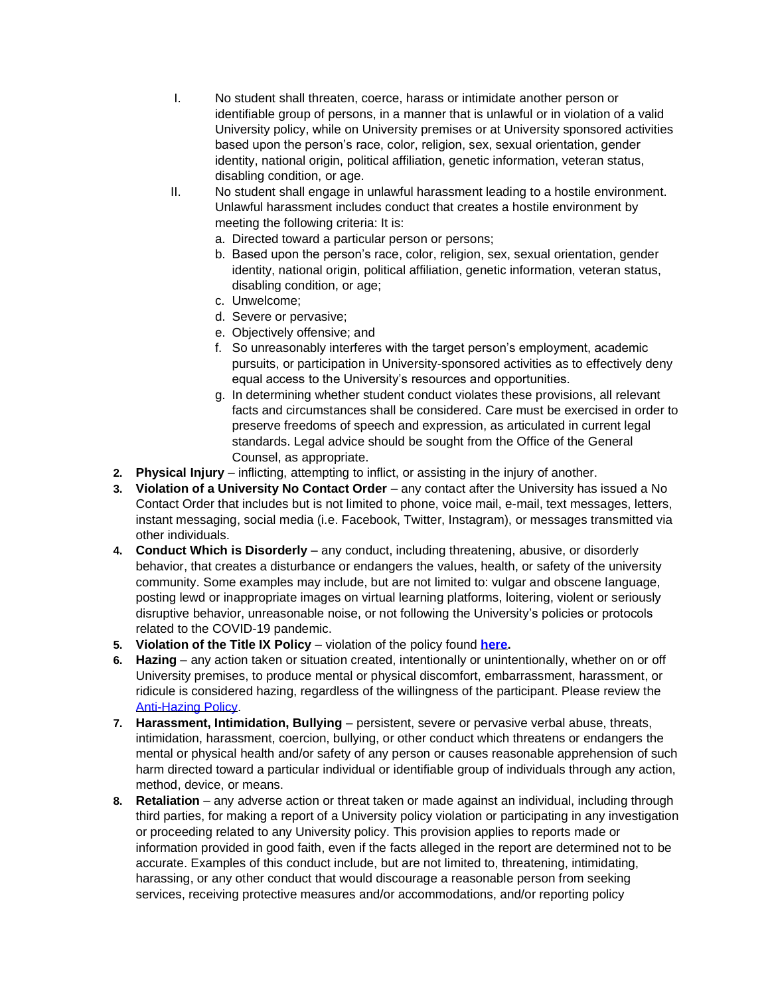- I. No student shall threaten, coerce, harass or intimidate another person or identifiable group of persons, in a manner that is unlawful or in violation of a valid University policy, while on University premises or at University sponsored activities based upon the person's race, color, religion, sex, sexual orientation, gender identity, national origin, political affiliation, genetic information, veteran status, disabling condition, or age.
- II. No student shall engage in unlawful harassment leading to a hostile environment. Unlawful harassment includes conduct that creates a hostile environment by meeting the following criteria: It is:
	- a. Directed toward a particular person or persons;
	- b. Based upon the person's race, color, religion, sex, sexual orientation, gender identity, national origin, political affiliation, genetic information, veteran status, disabling condition, or age;
	- c. Unwelcome;
	- d. Severe or pervasive;
	- e. Objectively offensive; and
	- f. So unreasonably interferes with the target person's employment, academic pursuits, or participation in University-sponsored activities as to effectively deny equal access to the University's resources and opportunities.
	- g. In determining whether student conduct violates these provisions, all relevant facts and circumstances shall be considered. Care must be exercised in order to preserve freedoms of speech and expression, as articulated in current legal standards. Legal advice should be sought from the Office of the General Counsel, as appropriate.
- **2. Physical Injury**  inflicting, attempting to inflict, or assisting in the injury of another.
- **3. Violation of a University No Contact Order**  any contact after the University has issued a No Contact Order that includes but is not limited to phone, voice mail, e-mail, text messages, letters, instant messaging, social media (i.e. Facebook, Twitter, Instagram), or messages transmitted via other individuals.
- **4. Conduct Which is Disorderly** any conduct, including threatening, abusive, or disorderly behavior, that creates a disturbance or endangers the values, health, or safety of the university community. Some examples may include, but are not limited to: vulgar and obscene language, posting lewd or inappropriate images on virtual learning platforms, loitering, violent or seriously disruptive behavior, unreasonable noise, or not following the University's policies or protocols related to the COVID-19 pandemic.
- **5. Violation of the Title IX Policy**  violation of the policy found **[here.](https://policy.uncg.edu/university_policies/title-ix-policy/)**
- **6. Hazing**  any action taken or situation created, intentionally or unintentionally, whether on or off University premises, to produce mental or physical discomfort, embarrassment, harassment, or ridicule is considered hazing, regardless of the willingness of the participant. Please review the [Anti-Hazing Policy.](https://sa.uncg.edu/handbook/policies/anti-hazing/)
- **7. Harassment, Intimidation, Bullying**  persistent, severe or pervasive verbal abuse, threats, intimidation, harassment, coercion, bullying, or other conduct which threatens or endangers the mental or physical health and/or safety of any person or causes reasonable apprehension of such harm directed toward a particular individual or identifiable group of individuals through any action, method, device, or means.
- 8. **Retaliation** any adverse action or threat taken or made against an individual, including through third parties, for making a report of a University policy violation or participating in any investigation or proceeding related to any University policy. This provision applies to reports made or information provided in good faith, even if the facts alleged in the report are determined not to be accurate. Examples of this conduct include, but are not limited to, threatening, intimidating, harassing, or any other conduct that would discourage a reasonable person from seeking services, receiving protective measures and/or accommodations, and/or reporting policy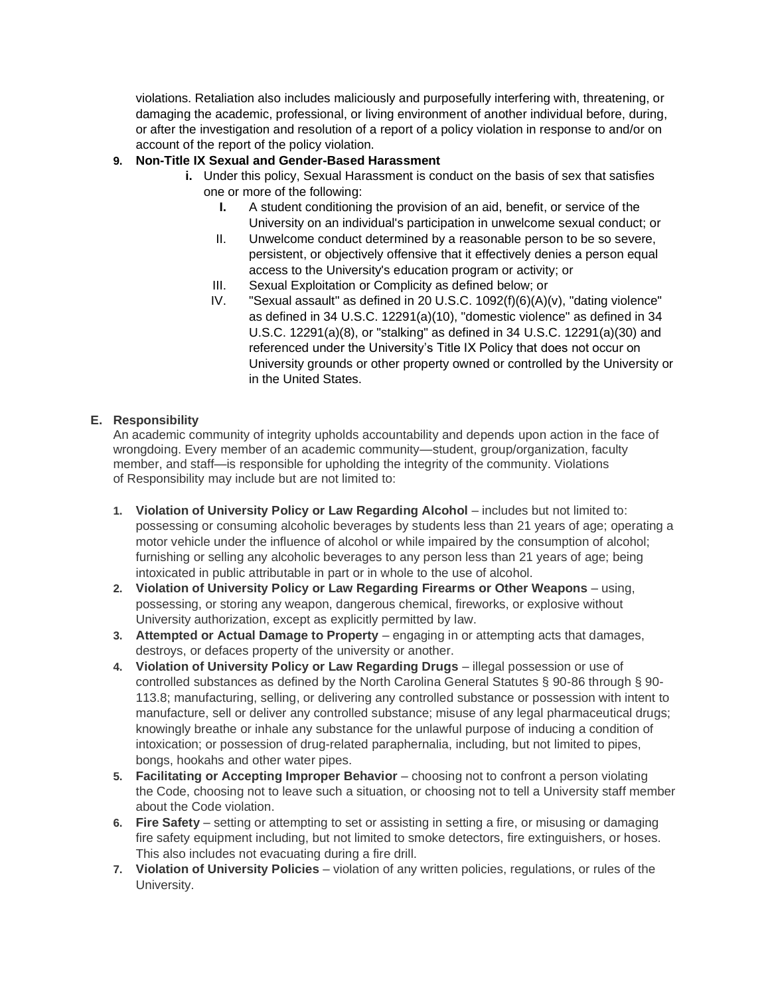violations. Retaliation also includes maliciously and purposefully interfering with, threatening, or damaging the academic, professional, or living environment of another individual before, during, or after the investigation and resolution of a report of a policy violation in response to and/or on account of the report of the policy violation.

# **9. Non-Title IX Sexual and Gender-Based Harassment**

- **i.** Under this policy, Sexual Harassment is conduct on the basis of sex that satisfies one or more of the following:
	- **I.** A student conditioning the provision of an aid, benefit, or service of the University on an individual's participation in unwelcome sexual conduct; or
	- II. Unwelcome conduct determined by a reasonable person to be so severe, persistent, or objectively offensive that it effectively denies a person equal access to the University's education program or activity; or
	- III. Sexual Exploitation or Complicity as defined below; or
	- IV. "Sexual assault" as defined in 20 U.S.C. 1092(f)(6)(A)(v), "dating violence" as defined in 34 U.S.C. 12291(a)(10), "domestic violence" as defined in 34 U.S.C. 12291(a)(8), or "stalking" as defined in 34 U.S.C. 12291(a)(30) and referenced under the University's Title IX Policy that does not occur on University grounds or other property owned or controlled by the University or in the United States.

## **E. Responsibility**

An academic community of integrity upholds accountability and depends upon action in the face of wrongdoing. Every member of an academic community—student, group/organization, faculty member, and staff-is responsible for upholding the integrity of the community. Violations of Responsibility may include but are not limited to:

- **1. Violation of University Policy or Law Regarding Alcohol** includes but not limited to: possessing or consuming alcoholic beverages by students less than 21 years of age; operating a motor vehicle under the influence of alcohol or while impaired by the consumption of alcohol; furnishing or selling any alcoholic beverages to any person less than 21 years of age; being intoxicated in public attributable in part or in whole to the use of alcohol.
- **2. Violation of University Policy or Law Regarding Firearms or Other Weapons**  using, possessing, or storing any weapon, dangerous chemical, fireworks, or explosive without University authorization, except as explicitly permitted by law.
- **3. Attempted or Actual Damage to Property** engaging in or attempting acts that damages, destroys, or defaces property of the university or another.
- **4. Violation of University Policy or Law Regarding Drugs**  illegal possession or use of controlled substances as defined by the North Carolina General Statutes § 90-86 through § 90- 113.8; manufacturing, selling, or delivering any controlled substance or possession with intent to manufacture, sell or deliver any controlled substance; misuse of any legal pharmaceutical drugs; knowingly breathe or inhale any substance for the unlawful purpose of inducing a condition of intoxication; or possession of drug-related paraphernalia, including, but not limited to pipes, bongs, hookahs and other water pipes.
- **5. Facilitating or Accepting Improper Behavior** choosing not to confront a person violating the Code, choosing not to leave such a situation, or choosing not to tell a University staff member about the Code violation.
- **6. Fire Safety**  setting or attempting to set or assisting in setting a fire, or misusing or damaging fire safety equipment including, but not limited to smoke detectors, fire extinguishers, or hoses. This also includes not evacuating during a fire drill.
- **7. Violation of University Policies**  violation of any written policies, regulations, or rules of the University.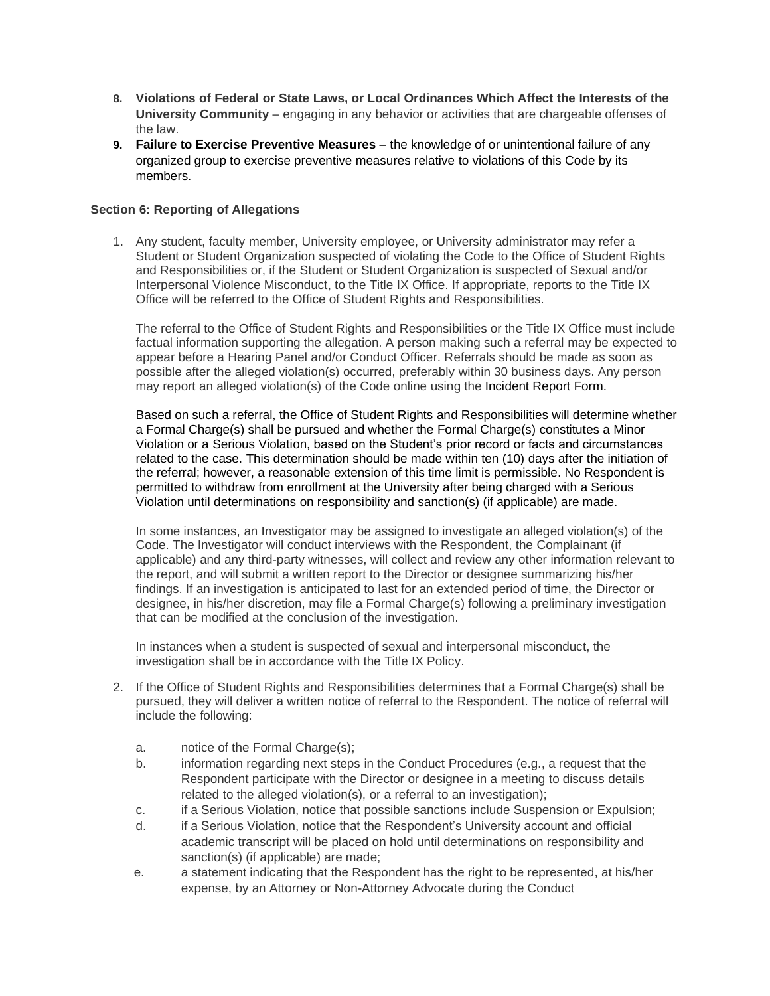- **8. Violations of Federal or State Laws, or Local Ordinances Which Affect the Interests of the University Community** – engaging in any behavior or activities that are chargeable offenses of the law.
- **9. Failure to Exercise Preventive Measures** the knowledge of or unintentional failure of any organized group to exercise preventive measures relative to violations of this Code by its members.

## **Section 6: Reporting of Allegations**

1. Any student, faculty member, University employee, or University administrator may refer a Student or Student Organization suspected of violating the Code to the Office of Student Rights and Responsibilities or, if the Student or Student Organization is suspected of Sexual and/or Interpersonal Violence Misconduct, to the Title IX Office. If appropriate, reports to the Title IX Office will be referred to the Office of Student Rights and Responsibilities.

The referral to the Office of Student Rights and Responsibilities or the Title IX Office must include factual information supporting the allegation. A person making such a referral may be expected to appear before a Hearing Panel and/or Conduct Officer. Referrals should be made as soon as possible after the alleged violation(s) occurred, preferably within 30 business days. Any person may report an alleged violation(s) of the Code online using the Incident Report Form.

Based on such a referral, the Office of Student Rights and Responsibilities will determine whether a Formal Charge(s) shall be pursued and whether the Formal Charge(s) constitutes a Minor Violation or a Serious Violation, based on the Student's prior record or facts and circumstances related to the case. This determination should be made within ten (10) days after the initiation of the referral; however, a reasonable extension of this time limit is permissible. No Respondent is permitted to withdraw from enrollment at the University after being charged with a Serious Violation until determinations on responsibility and sanction(s) (if applicable) are made.

In some instances, an Investigator may be assigned to investigate an alleged violation(s) of the Code. The Investigator will conduct interviews with the Respondent, the Complainant (if applicable) and any third-party witnesses, will collect and review any other information relevant to the report, and will submit a written report to the Director or designee summarizing his/her findings. If an investigation is anticipated to last for an extended period of time, the Director or designee, in his/her discretion, may file a Formal Charge(s) following a preliminary investigation that can be modified at the conclusion of the investigation.

In instances when a student is suspected of sexual and interpersonal misconduct, the investigation shall be in accordance with the Title IX Policy.

- 2. If the Office of Student Rights and Responsibilities determines that a Formal Charge(s) shall be pursued, they will deliver a written notice of referral to the Respondent. The notice of referral will include the following:
	- a. notice of the Formal Charge(s);
	- b. information regarding next steps in the Conduct Procedures (e.g., a request that the Respondent participate with the Director or designee in a meeting to discuss details related to the alleged violation(s), or a referral to an investigation);
	- c. if a Serious Violation, notice that possible sanctions include Suspension or Expulsion;
	- d. if a Serious Violation, notice that the Respondent's University account and official academic transcript will be placed on hold until determinations on responsibility and sanction(s) (if applicable) are made;
	- e. a statement indicating that the Respondent has the right to be represented, at his/her expense, by an Attorney or Non-Attorney Advocate during the Conduct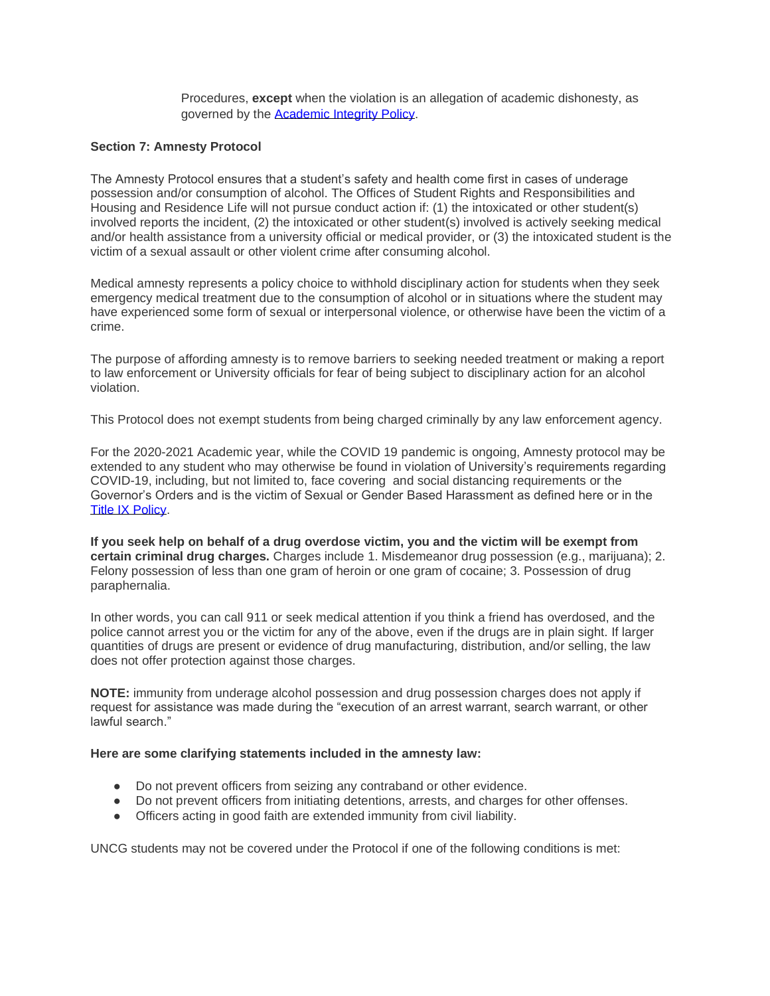Procedures, **except** when the violation is an allegation of academic dishonesty, as governed by the [Academic Integrity Policy.](https://drive.google.com/file/d/0B0rFGGhJvbDHUExSZmFFaWFmb00/view)

#### **Section 7: Amnesty Protocol**

The Amnesty Protocol ensures that a student's safety and health come first in cases of underage possession and/or consumption of alcohol. The Offices of Student Rights and Responsibilities and Housing and Residence Life will not pursue conduct action if: (1) the intoxicated or other student(s) involved reports the incident, (2) the intoxicated or other student(s) involved is actively seeking medical and/or health assistance from a university official or medical provider, or (3) the intoxicated student is the victim of a sexual assault or other violent crime after consuming alcohol.

Medical amnesty represents a policy choice to withhold disciplinary action for students when they seek emergency medical treatment due to the consumption of alcohol or in situations where the student may have experienced some form of sexual or interpersonal violence, or otherwise have been the victim of a crime.

The purpose of affording amnesty is to remove barriers to seeking needed treatment or making a report to law enforcement or University officials for fear of being subject to disciplinary action for an alcohol violation.

This Protocol does not exempt students from being charged criminally by any law enforcement agency.

For the 2020-2021 Academic year, while the COVID 19 pandemic is ongoing, Amnesty protocol may be extended to any student who may otherwise be found in violation of University's requirements regarding COVID-19, including, but not limited to, face covering and social distancing requirements or the Governor's Orders and is the victim of Sexual or Gender Based Harassment as defined here or in the [Title IX Policy.](https://policy.uncg.edu/university_policies/title-ix-policy/)

**If you seek help on behalf of a drug overdose victim, you and the victim will be exempt from certain criminal drug charges.** Charges include 1. Misdemeanor drug possession (e.g., marijuana); 2. Felony possession of less than one gram of heroin or one gram of cocaine; 3. Possession of drug paraphernalia.

In other words, you can call 911 or seek medical attention if you think a friend has overdosed, and the police cannot arrest you or the victim for any of the above, even if the drugs are in plain sight. If larger quantities of drugs are present or evidence of drug manufacturing, distribution, and/or selling, the law does not offer protection against those charges.

**NOTE:** immunity from underage alcohol possession and drug possession charges does not apply if request for assistance was made during the "execution of an arrest warrant, search warrant, or other lawful search."

#### **Here are some clarifying statements included in the amnesty law:**

- Do not prevent officers from seizing any contraband or other evidence.
- Do not prevent officers from initiating detentions, arrests, and charges for other offenses.
- Officers acting in good faith are extended immunity from civil liability.

UNCG students may not be covered under the Protocol if one of the following conditions is met: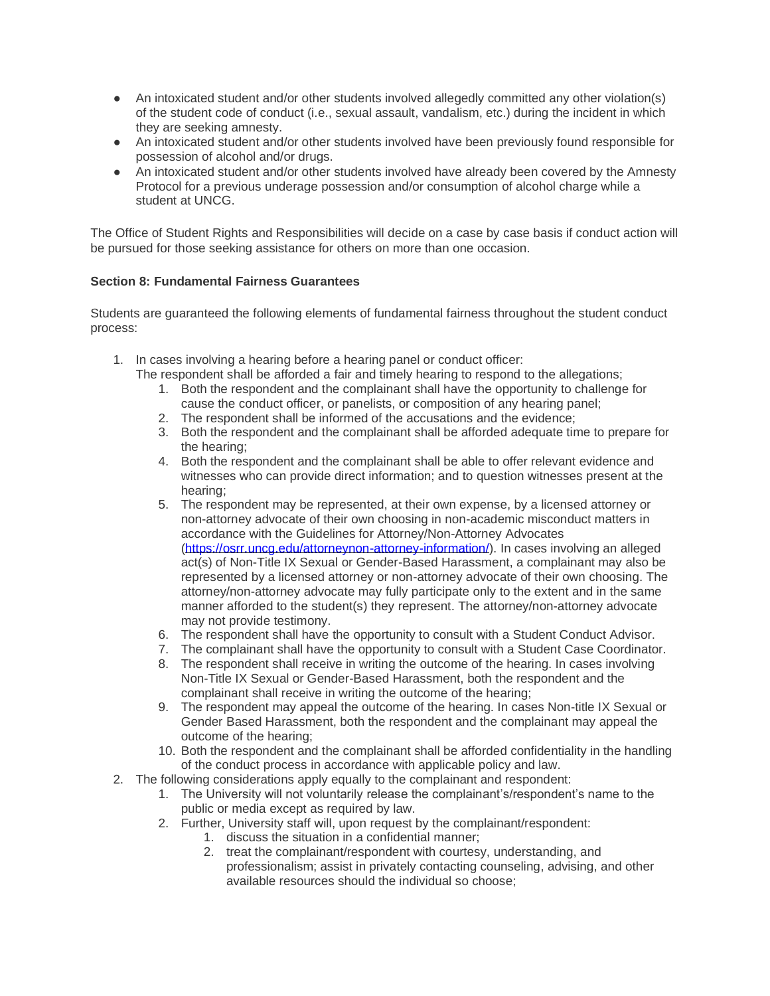- An intoxicated student and/or other students involved allegedly committed any other violation(s) of the student code of conduct (i.e., sexual assault, vandalism, etc.) during the incident in which they are seeking amnesty.
- An intoxicated student and/or other students involved have been previously found responsible for possession of alcohol and/or drugs.
- An intoxicated student and/or other students involved have already been covered by the Amnesty Protocol for a previous underage possession and/or consumption of alcohol charge while a student at UNCG.

The Office of Student Rights and Responsibilities will decide on a case by case basis if conduct action will be pursued for those seeking assistance for others on more than one occasion.

# **Section 8: Fundamental Fairness Guarantees**

Students are guaranteed the following elements of fundamental fairness throughout the student conduct process:

1. In cases involving a hearing before a hearing panel or conduct officer:

The respondent shall be afforded a fair and timely hearing to respond to the allegations;

- 1. Both the respondent and the complainant shall have the opportunity to challenge for cause the conduct officer, or panelists, or composition of any hearing panel;
- 2. The respondent shall be informed of the accusations and the evidence;
- 3. Both the respondent and the complainant shall be afforded adequate time to prepare for the hearing;
- 4. Both the respondent and the complainant shall be able to offer relevant evidence and witnesses who can provide direct information; and to question witnesses present at the hearing;
- 5. The respondent may be represented, at their own expense, by a licensed attorney or non-attorney advocate of their own choosing in non-academic misconduct matters in accordance with the Guidelines for Attorney/Non-Attorney Advocates [\(https://osrr.uncg.edu/attorneynon-attorney-information/\)](https://osrr.uncg.edu/attorneynon-attorney-information/). In cases involving an alleged act(s) of Non-Title IX Sexual or Gender-Based Harassment, a complainant may also be represented by a licensed attorney or non-attorney advocate of their own choosing. The attorney/non-attorney advocate may fully participate only to the extent and in the same manner afforded to the student(s) they represent. The attorney/non-attorney advocate may not provide testimony.
- 6. The respondent shall have the opportunity to consult with a Student Conduct Advisor.
- 7. The complainant shall have the opportunity to consult with a Student Case Coordinator.
- 8. The respondent shall receive in writing the outcome of the hearing. In cases involving Non-Title IX Sexual or Gender-Based Harassment, both the respondent and the complainant shall receive in writing the outcome of the hearing;
- 9. The respondent may appeal the outcome of the hearing. In cases Non-title IX Sexual or Gender Based Harassment, both the respondent and the complainant may appeal the outcome of the hearing;
- 10. Both the respondent and the complainant shall be afforded confidentiality in the handling of the conduct process in accordance with applicable policy and law.
- 2. The following considerations apply equally to the complainant and respondent:
	- 1. The University will not voluntarily release the complainant's/respondent's name to the public or media except as required by law.
	- 2. Further, University staff will, upon request by the complainant/respondent:
		- 1. discuss the situation in a confidential manner;
		- 2. treat the complainant/respondent with courtesy, understanding, and professionalism; assist in privately contacting counseling, advising, and other available resources should the individual so choose;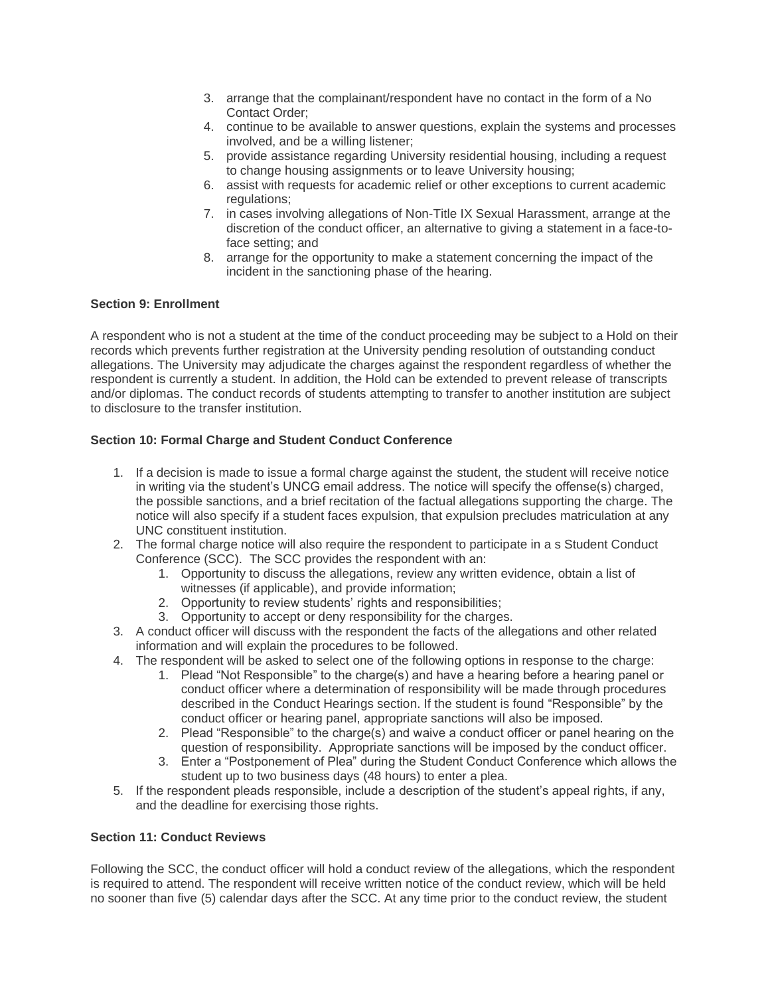- 3. arrange that the complainant/respondent have no contact in the form of a No Contact Order;
- 4. continue to be available to answer questions, explain the systems and processes involved, and be a willing listener;
- 5. provide assistance regarding University residential housing, including a request to change housing assignments or to leave University housing;
- 6. assist with requests for academic relief or other exceptions to current academic regulations:
- 7. in cases involving allegations of Non-Title IX Sexual Harassment, arrange at the discretion of the conduct officer, an alternative to giving a statement in a face-toface setting; and
- 8. arrange for the opportunity to make a statement concerning the impact of the incident in the sanctioning phase of the hearing.

# **Section 9: Enrollment**

A respondent who is not a student at the time of the conduct proceeding may be subject to a Hold on their records which prevents further registration at the University pending resolution of outstanding conduct allegations. The University may adjudicate the charges against the respondent regardless of whether the respondent is currently a student. In addition, the Hold can be extended to prevent release of transcripts and/or diplomas. The conduct records of students attempting to transfer to another institution are subject to disclosure to the transfer institution.

# **Section 10: Formal Charge and Student Conduct Conference**

- 1. If a decision is made to issue a formal charge against the student, the student will receive notice in writing via the student's UNCG email address. The notice will specify the offense(s) charged, the possible sanctions, and a brief recitation of the factual allegations supporting the charge. The notice will also specify if a student faces expulsion, that expulsion precludes matriculation at any UNC constituent institution.
- 2. The formal charge notice will also require the respondent to participate in a s Student Conduct Conference (SCC). The SCC provides the respondent with an:
	- 1. Opportunity to discuss the allegations, review any written evidence, obtain a list of witnesses (if applicable), and provide information;
	- 2. Opportunity to review students' rights and responsibilities;
	- 3. Opportunity to accept or deny responsibility for the charges.
- 3. A conduct officer will discuss with the respondent the facts of the allegations and other related information and will explain the procedures to be followed.
- 4. The respondent will be asked to select one of the following options in response to the charge:
	- 1. Plead "Not Responsible" to the charge(s) and have a hearing before a hearing panel or conduct officer where a determination of responsibility will be made through procedures described in the Conduct Hearings section. If the student is found "Responsible" by the conduct officer or hearing panel, appropriate sanctions will also be imposed.
	- 2. Plead "Responsible" to the charge(s) and waive a conduct officer or panel hearing on the question of responsibility. Appropriate sanctions will be imposed by the conduct officer.
	- 3. Enter a "Postponement of Plea" during the Student Conduct Conference which allows the student up to two business days (48 hours) to enter a plea.
- 5. If the respondent pleads responsible, include a description of the student's appeal rights, if any, and the deadline for exercising those rights.

#### **Section 11: Conduct Reviews**

Following the SCC, the conduct officer will hold a conduct review of the allegations, which the respondent is required to attend. The respondent will receive written notice of the conduct review, which will be held no sooner than five (5) calendar days after the SCC. At any time prior to the conduct review, the student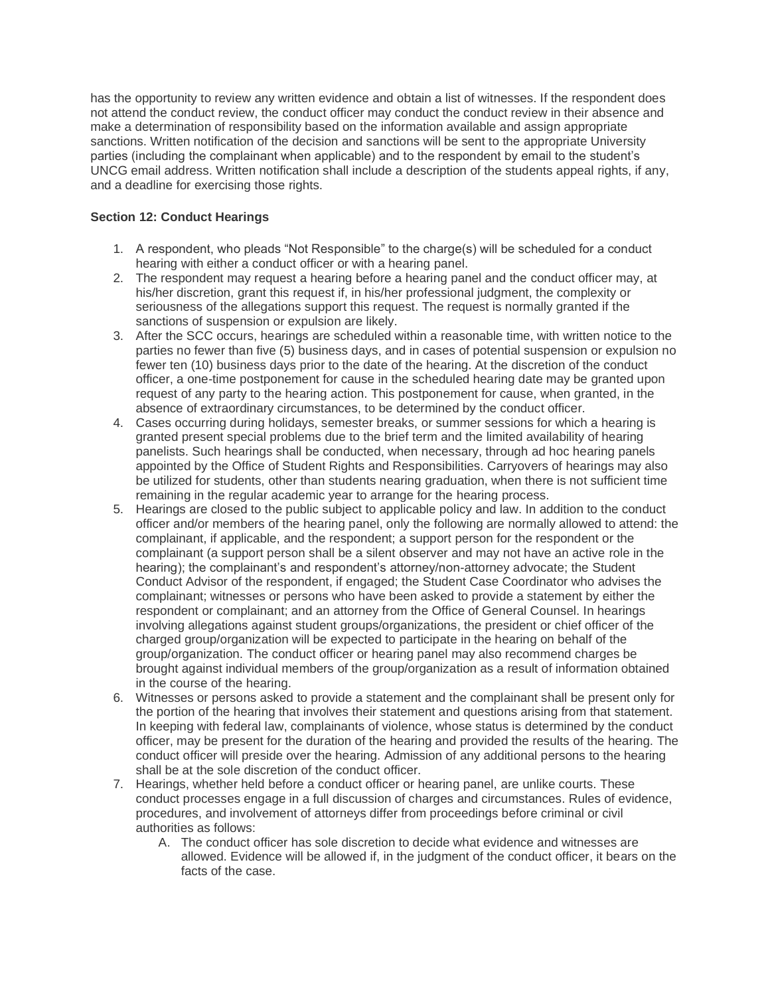has the opportunity to review any written evidence and obtain a list of witnesses. If the respondent does not attend the conduct review, the conduct officer may conduct the conduct review in their absence and make a determination of responsibility based on the information available and assign appropriate sanctions. Written notification of the decision and sanctions will be sent to the appropriate University parties (including the complainant when applicable) and to the respondent by email to the student's UNCG email address. Written notification shall include a description of the students appeal rights, if any, and a deadline for exercising those rights.

# **Section 12: Conduct Hearings**

- 1. A respondent, who pleads "Not Responsible" to the charge(s) will be scheduled for a conduct hearing with either a conduct officer or with a hearing panel.
- 2. The respondent may request a hearing before a hearing panel and the conduct officer may, at his/her discretion, grant this request if, in his/her professional judgment, the complexity or seriousness of the allegations support this request. The request is normally granted if the sanctions of suspension or expulsion are likely.
- 3. After the SCC occurs, hearings are scheduled within a reasonable time, with written notice to the parties no fewer than five (5) business days, and in cases of potential suspension or expulsion no fewer ten (10) business days prior to the date of the hearing. At the discretion of the conduct officer, a one-time postponement for cause in the scheduled hearing date may be granted upon request of any party to the hearing action. This postponement for cause, when granted, in the absence of extraordinary circumstances, to be determined by the conduct officer.
- 4. Cases occurring during holidays, semester breaks, or summer sessions for which a hearing is granted present special problems due to the brief term and the limited availability of hearing panelists. Such hearings shall be conducted, when necessary, through ad hoc hearing panels appointed by the Office of Student Rights and Responsibilities. Carryovers of hearings may also be utilized for students, other than students nearing graduation, when there is not sufficient time remaining in the regular academic year to arrange for the hearing process.
- 5. Hearings are closed to the public subject to applicable policy and law. In addition to the conduct officer and/or members of the hearing panel, only the following are normally allowed to attend: the complainant, if applicable, and the respondent; a support person for the respondent or the complainant (a support person shall be a silent observer and may not have an active role in the hearing); the complainant's and respondent's attorney/non-attorney advocate; the Student Conduct Advisor of the respondent, if engaged; the Student Case Coordinator who advises the complainant; witnesses or persons who have been asked to provide a statement by either the respondent or complainant; and an attorney from the Office of General Counsel. In hearings involving allegations against student groups/organizations, the president or chief officer of the charged group/organization will be expected to participate in the hearing on behalf of the group/organization. The conduct officer or hearing panel may also recommend charges be brought against individual members of the group/organization as a result of information obtained in the course of the hearing.
- 6. Witnesses or persons asked to provide a statement and the complainant shall be present only for the portion of the hearing that involves their statement and questions arising from that statement. In keeping with federal law, complainants of violence, whose status is determined by the conduct officer, may be present for the duration of the hearing and provided the results of the hearing. The conduct officer will preside over the hearing. Admission of any additional persons to the hearing shall be at the sole discretion of the conduct officer.
- 7. Hearings, whether held before a conduct officer or hearing panel, are unlike courts. These conduct processes engage in a full discussion of charges and circumstances. Rules of evidence, procedures, and involvement of attorneys differ from proceedings before criminal or civil authorities as follows:
	- A. The conduct officer has sole discretion to decide what evidence and witnesses are allowed. Evidence will be allowed if, in the judgment of the conduct officer, it bears on the facts of the case.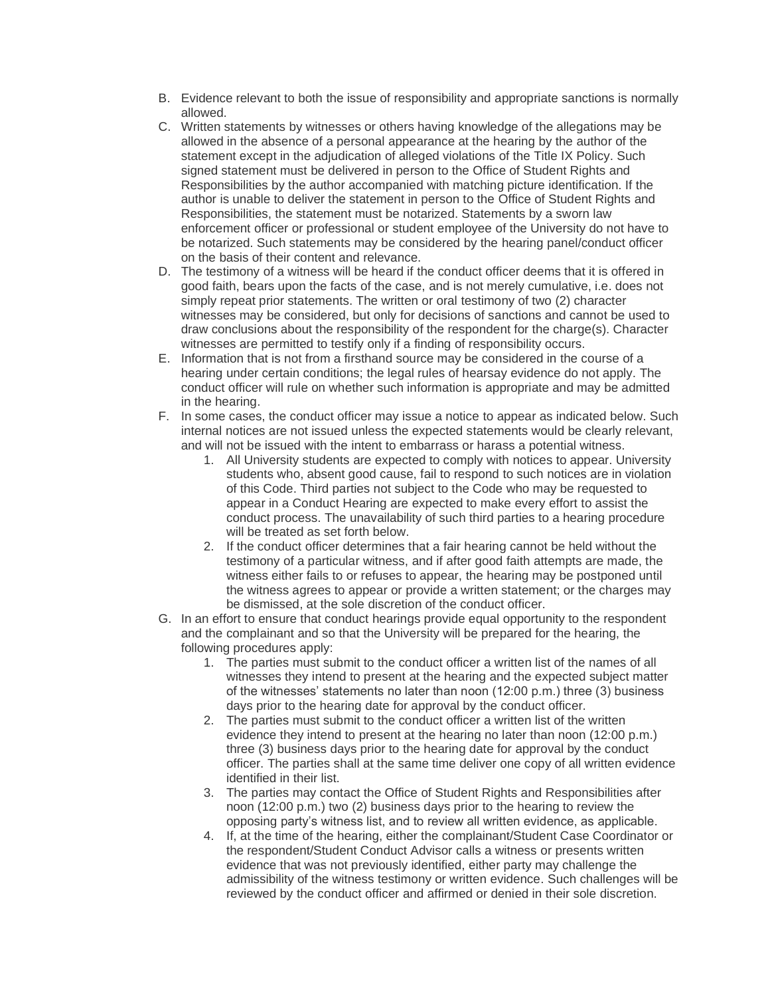- B. Evidence relevant to both the issue of responsibility and appropriate sanctions is normally allowed.
- C. Written statements by witnesses or others having knowledge of the allegations may be allowed in the absence of a personal appearance at the hearing by the author of the statement except in the adjudication of alleged violations of the Title IX Policy. Such signed statement must be delivered in person to the Office of Student Rights and Responsibilities by the author accompanied with matching picture identification. If the author is unable to deliver the statement in person to the Office of Student Rights and Responsibilities, the statement must be notarized. Statements by a sworn law enforcement officer or professional or student employee of the University do not have to be notarized. Such statements may be considered by the hearing panel/conduct officer on the basis of their content and relevance.
- D. The testimony of a witness will be heard if the conduct officer deems that it is offered in good faith, bears upon the facts of the case, and is not merely cumulative, i.e. does not simply repeat prior statements. The written or oral testimony of two (2) character witnesses may be considered, but only for decisions of sanctions and cannot be used to draw conclusions about the responsibility of the respondent for the charge(s). Character witnesses are permitted to testify only if a finding of responsibility occurs.
- E. Information that is not from a firsthand source may be considered in the course of a hearing under certain conditions; the legal rules of hearsay evidence do not apply. The conduct officer will rule on whether such information is appropriate and may be admitted in the hearing.
- F. In some cases, the conduct officer may issue a notice to appear as indicated below. Such internal notices are not issued unless the expected statements would be clearly relevant, and will not be issued with the intent to embarrass or harass a potential witness.
	- 1. All University students are expected to comply with notices to appear. University students who, absent good cause, fail to respond to such notices are in violation of this Code. Third parties not subject to the Code who may be requested to appear in a Conduct Hearing are expected to make every effort to assist the conduct process. The unavailability of such third parties to a hearing procedure will be treated as set forth below.
	- 2. If the conduct officer determines that a fair hearing cannot be held without the testimony of a particular witness, and if after good faith attempts are made, the witness either fails to or refuses to appear, the hearing may be postponed until the witness agrees to appear or provide a written statement; or the charges may be dismissed, at the sole discretion of the conduct officer.
- G. In an effort to ensure that conduct hearings provide equal opportunity to the respondent and the complainant and so that the University will be prepared for the hearing, the following procedures apply:
	- 1. The parties must submit to the conduct officer a written list of the names of all witnesses they intend to present at the hearing and the expected subject matter of the witnesses' statements no later than noon (12:00 p.m.) three (3) business days prior to the hearing date for approval by the conduct officer.
	- 2. The parties must submit to the conduct officer a written list of the written evidence they intend to present at the hearing no later than noon (12:00 p.m.) three (3) business days prior to the hearing date for approval by the conduct officer. The parties shall at the same time deliver one copy of all written evidence identified in their list.
	- 3. The parties may contact the Office of Student Rights and Responsibilities after noon (12:00 p.m.) two (2) business days prior to the hearing to review the opposing party's witness list, and to review all written evidence, as applicable.
	- 4. If, at the time of the hearing, either the complainant/Student Case Coordinator or the respondent/Student Conduct Advisor calls a witness or presents written evidence that was not previously identified, either party may challenge the admissibility of the witness testimony or written evidence. Such challenges will be reviewed by the conduct officer and affirmed or denied in their sole discretion.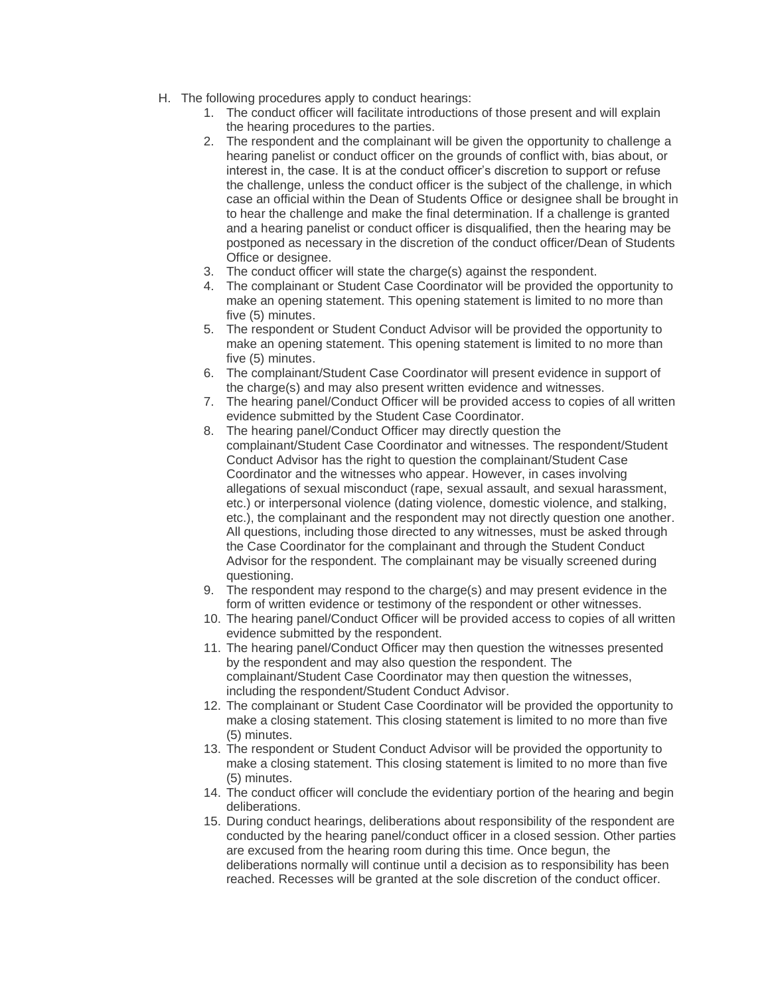- H. The following procedures apply to conduct hearings:
	- 1. The conduct officer will facilitate introductions of those present and will explain the hearing procedures to the parties.
	- 2. The respondent and the complainant will be given the opportunity to challenge a hearing panelist or conduct officer on the grounds of conflict with, bias about, or interest in, the case. It is at the conduct officer's discretion to support or refuse the challenge, unless the conduct officer is the subject of the challenge, in which case an official within the Dean of Students Office or designee shall be brought in to hear the challenge and make the final determination. If a challenge is granted and a hearing panelist or conduct officer is disqualified, then the hearing may be postponed as necessary in the discretion of the conduct officer/Dean of Students Office or designee.
	- 3. The conduct officer will state the charge(s) against the respondent.
	- 4. The complainant or Student Case Coordinator will be provided the opportunity to make an opening statement. This opening statement is limited to no more than five (5) minutes.
	- 5. The respondent or Student Conduct Advisor will be provided the opportunity to make an opening statement. This opening statement is limited to no more than five (5) minutes.
	- 6. The complainant/Student Case Coordinator will present evidence in support of the charge(s) and may also present written evidence and witnesses.
	- 7. The hearing panel/Conduct Officer will be provided access to copies of all written evidence submitted by the Student Case Coordinator.
	- 8. The hearing panel/Conduct Officer may directly question the complainant/Student Case Coordinator and witnesses. The respondent/Student Conduct Advisor has the right to question the complainant/Student Case Coordinator and the witnesses who appear. However, in cases involving allegations of sexual misconduct (rape, sexual assault, and sexual harassment, etc.) or interpersonal violence (dating violence, domestic violence, and stalking, etc.), the complainant and the respondent may not directly question one another. All questions, including those directed to any witnesses, must be asked through the Case Coordinator for the complainant and through the Student Conduct Advisor for the respondent. The complainant may be visually screened during questioning.
	- 9. The respondent may respond to the charge(s) and may present evidence in the form of written evidence or testimony of the respondent or other witnesses.
	- 10. The hearing panel/Conduct Officer will be provided access to copies of all written evidence submitted by the respondent.
	- 11. The hearing panel/Conduct Officer may then question the witnesses presented by the respondent and may also question the respondent. The complainant/Student Case Coordinator may then question the witnesses, including the respondent/Student Conduct Advisor.
	- 12. The complainant or Student Case Coordinator will be provided the opportunity to make a closing statement. This closing statement is limited to no more than five (5) minutes.
	- 13. The respondent or Student Conduct Advisor will be provided the opportunity to make a closing statement. This closing statement is limited to no more than five (5) minutes.
	- 14. The conduct officer will conclude the evidentiary portion of the hearing and begin deliberations.
	- 15. During conduct hearings, deliberations about responsibility of the respondent are conducted by the hearing panel/conduct officer in a closed session. Other parties are excused from the hearing room during this time. Once begun, the deliberations normally will continue until a decision as to responsibility has been reached. Recesses will be granted at the sole discretion of the conduct officer.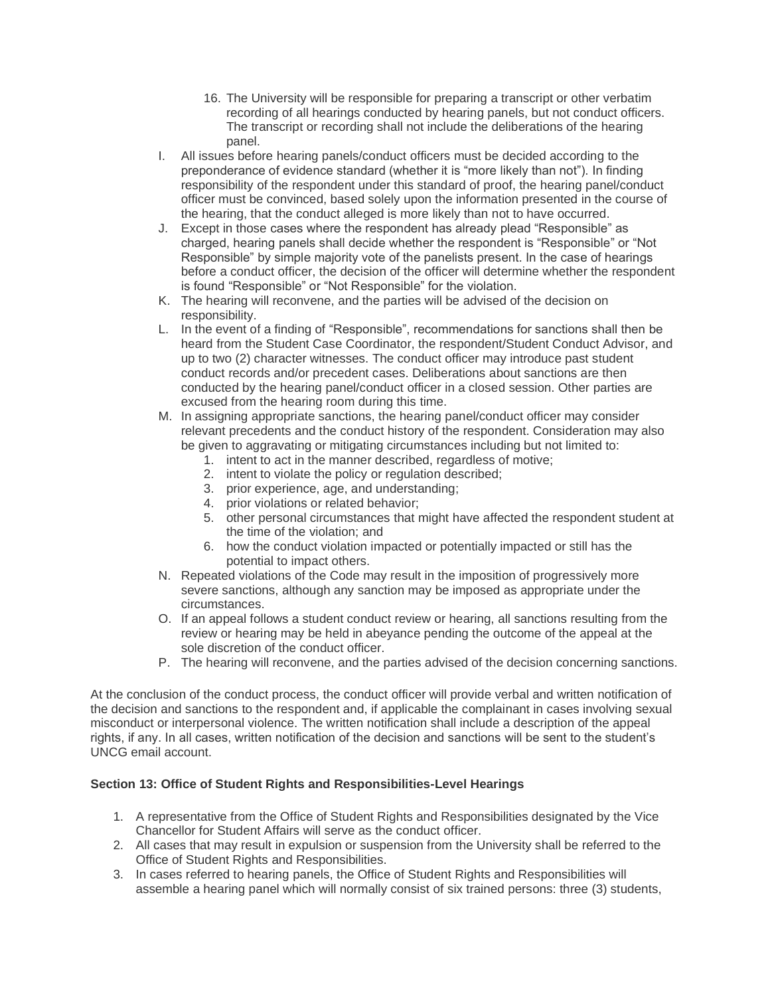- 16. The University will be responsible for preparing a transcript or other verbatim recording of all hearings conducted by hearing panels, but not conduct officers. The transcript or recording shall not include the deliberations of the hearing panel.
- I. All issues before hearing panels/conduct officers must be decided according to the preponderance of evidence standard (whether it is "more likely than not"). In finding responsibility of the respondent under this standard of proof, the hearing panel/conduct officer must be convinced, based solely upon the information presented in the course of the hearing, that the conduct alleged is more likely than not to have occurred.
- J. Except in those cases where the respondent has already plead "Responsible" as charged, hearing panels shall decide whether the respondent is "Responsible" or "Not Responsible" by simple majority vote of the panelists present. In the case of hearings before a conduct officer, the decision of the officer will determine whether the respondent is found "Responsible" or "Not Responsible" for the violation.
- K. The hearing will reconvene, and the parties will be advised of the decision on responsibility.
- L. In the event of a finding of "Responsible", recommendations for sanctions shall then be heard from the Student Case Coordinator, the respondent/Student Conduct Advisor, and up to two (2) character witnesses. The conduct officer may introduce past student conduct records and/or precedent cases. Deliberations about sanctions are then conducted by the hearing panel/conduct officer in a closed session. Other parties are excused from the hearing room during this time.
- M. In assigning appropriate sanctions, the hearing panel/conduct officer may consider relevant precedents and the conduct history of the respondent. Consideration may also be given to aggravating or mitigating circumstances including but not limited to:
	- 1. intent to act in the manner described, regardless of motive;
	- 2. intent to violate the policy or regulation described;
	- 3. prior experience, age, and understanding;
	- 4. prior violations or related behavior;
	- 5. other personal circumstances that might have affected the respondent student at the time of the violation; and
	- 6. how the conduct violation impacted or potentially impacted or still has the potential to impact others.
- N. Repeated violations of the Code may result in the imposition of progressively more severe sanctions, although any sanction may be imposed as appropriate under the circumstances.
- O. If an appeal follows a student conduct review or hearing, all sanctions resulting from the review or hearing may be held in abeyance pending the outcome of the appeal at the sole discretion of the conduct officer.
- P. The hearing will reconvene, and the parties advised of the decision concerning sanctions.

At the conclusion of the conduct process, the conduct officer will provide verbal and written notification of the decision and sanctions to the respondent and, if applicable the complainant in cases involving sexual misconduct or interpersonal violence. The written notification shall include a description of the appeal rights, if any. In all cases, written notification of the decision and sanctions will be sent to the student's UNCG email account.

# **Section 13: Office of Student Rights and Responsibilities-Level Hearings**

- 1. A representative from the Office of Student Rights and Responsibilities designated by the Vice Chancellor for Student Affairs will serve as the conduct officer.
- 2. All cases that may result in expulsion or suspension from the University shall be referred to the Office of Student Rights and Responsibilities.
- 3. In cases referred to hearing panels, the Office of Student Rights and Responsibilities will assemble a hearing panel which will normally consist of six trained persons: three (3) students,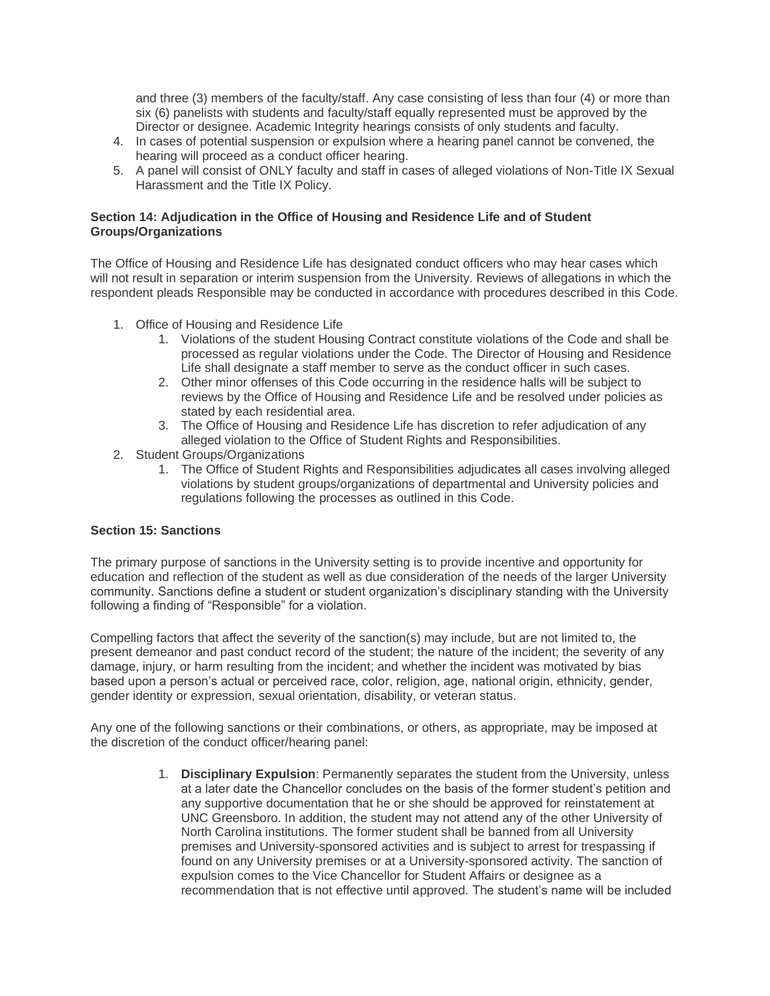and three (3) members of the faculty/staff. Any case consisting of less than four (4) or more than six (6) panelists with students and faculty/staff equally represented must be approved by the Director or designee. Academic Integrity hearings consists of only students and faculty.

- 4. In cases of potential suspension or expulsion where a hearing panel cannot be convened, the hearing will proceed as a conduct officer hearing.
- 5. A panel will consist of ONLY faculty and staff in cases of alleged violations of Non-Title IX Sexual Harassment and the Title IX Policy.

## **Section 14: Adjudication in the Office of Housing and Residence Life and of Student Groups/Organizations**

The Office of Housing and Residence Life has designated conduct officers who may hear cases which will not result in separation or interim suspension from the University. Reviews of allegations in which the respondent pleads Responsible may be conducted in accordance with procedures described in this Code.

- 1. Office of Housing and Residence Life
	- 1. Violations of the student Housing Contract constitute violations of the Code and shall be processed as regular violations under the Code. The Director of Housing and Residence Life shall designate a staff member to serve as the conduct officer in such cases.
	- 2. Other minor offenses of this Code occurring in the residence halls will be subject to reviews by the Office of Housing and Residence Life and be resolved under policies as stated by each residential area.
	- 3. The Office of Housing and Residence Life has discretion to refer adjudication of any alleged violation to the Office of Student Rights and Responsibilities.
- 2. Student Groups/Organizations
	- 1. The Office of Student Rights and Responsibilities adjudicates all cases involving alleged violations by student groups/organizations of departmental and University policies and regulations following the processes as outlined in this Code.

# **Section 15: Sanctions**

The primary purpose of sanctions in the University setting is to provide incentive and opportunity for education and reflection of the student as well as due consideration of the needs of the larger University community. Sanctions define a student or student organization's disciplinary standing with the University following a finding of "Responsible" for a violation.

Compelling factors that affect the severity of the sanction(s) may include, but are not limited to, the present demeanor and past conduct record of the student; the nature of the incident; the severity of any damage, injury, or harm resulting from the incident; and whether the incident was motivated by bias based upon a person's actual or perceived race, color, religion, age, national origin, ethnicity, gender, gender identity or expression, sexual orientation, disability, or veteran status.

Any one of the following sanctions or their combinations, or others, as appropriate, may be imposed at the discretion of the conduct officer/hearing panel:

> 1. **Disciplinary Expulsion**: Permanently separates the student from the University, unless at a later date the Chancellor concludes on the basis of the former student's petition and any supportive documentation that he or she should be approved for reinstatement at UNC Greensboro. In addition, the student may not attend any of the other University of North Carolina institutions. The former student shall be banned from all University premises and University-sponsored activities and is subject to arrest for trespassing if found on any University premises or at a University-sponsored activity. The sanction of expulsion comes to the Vice Chancellor for Student Affairs or designee as a recommendation that is not effective until approved. The student's name will be included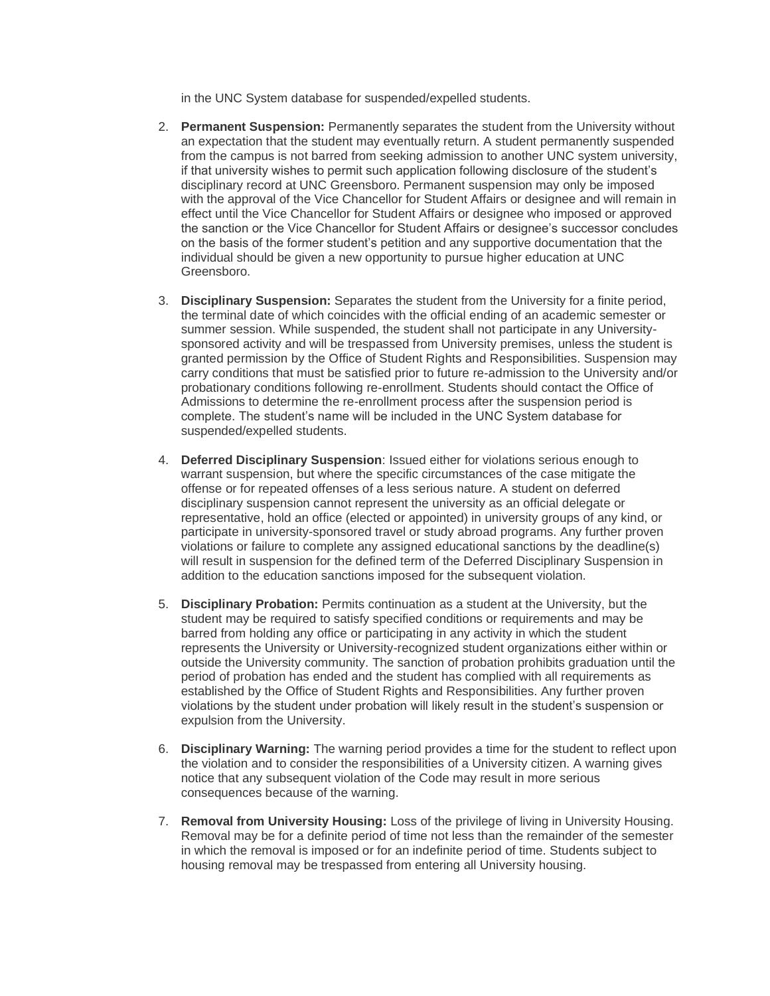in the UNC System database for suspended/expelled students.

- 2. **Permanent Suspension:** Permanently separates the student from the University without an expectation that the student may eventually return. A student permanently suspended from the campus is not barred from seeking admission to another UNC system university, if that university wishes to permit such application following disclosure of the student's disciplinary record at UNC Greensboro. Permanent suspension may only be imposed with the approval of the Vice Chancellor for Student Affairs or designee and will remain in effect until the Vice Chancellor for Student Affairs or designee who imposed or approved the sanction or the Vice Chancellor for Student Affairs or designee's successor concludes on the basis of the former student's petition and any supportive documentation that the individual should be given a new opportunity to pursue higher education at UNC Greensboro.
- 3. **Disciplinary Suspension:** Separates the student from the University for a finite period, the terminal date of which coincides with the official ending of an academic semester or summer session. While suspended, the student shall not participate in any Universitysponsored activity and will be trespassed from University premises, unless the student is granted permission by the Office of Student Rights and Responsibilities. Suspension may carry conditions that must be satisfied prior to future re-admission to the University and/or probationary conditions following re-enrollment. Students should contact the Office of Admissions to determine the re-enrollment process after the suspension period is complete. The student's name will be included in the UNC System database for suspended/expelled students.
- 4. **Deferred Disciplinary Suspension**: Issued either for violations serious enough to warrant suspension, but where the specific circumstances of the case mitigate the offense or for repeated offenses of a less serious nature. A student on deferred disciplinary suspension cannot represent the university as an official delegate or representative, hold an office (elected or appointed) in university groups of any kind, or participate in university-sponsored travel or study abroad programs. Any further proven violations or failure to complete any assigned educational sanctions by the deadline(s) will result in suspension for the defined term of the Deferred Disciplinary Suspension in addition to the education sanctions imposed for the subsequent violation.
- 5. **Disciplinary Probation:** Permits continuation as a student at the University, but the student may be required to satisfy specified conditions or requirements and may be barred from holding any office or participating in any activity in which the student represents the University or University-recognized student organizations either within or outside the University community. The sanction of probation prohibits graduation until the period of probation has ended and the student has complied with all requirements as established by the Office of Student Rights and Responsibilities. Any further proven violations by the student under probation will likely result in the student's suspension or expulsion from the University.
- 6. **Disciplinary Warning:** The warning period provides a time for the student to reflect upon the violation and to consider the responsibilities of a University citizen. A warning gives notice that any subsequent violation of the Code may result in more serious consequences because of the warning.
- 7. **Removal from University Housing:** Loss of the privilege of living in University Housing. Removal may be for a definite period of time not less than the remainder of the semester in which the removal is imposed or for an indefinite period of time. Students subject to housing removal may be trespassed from entering all University housing.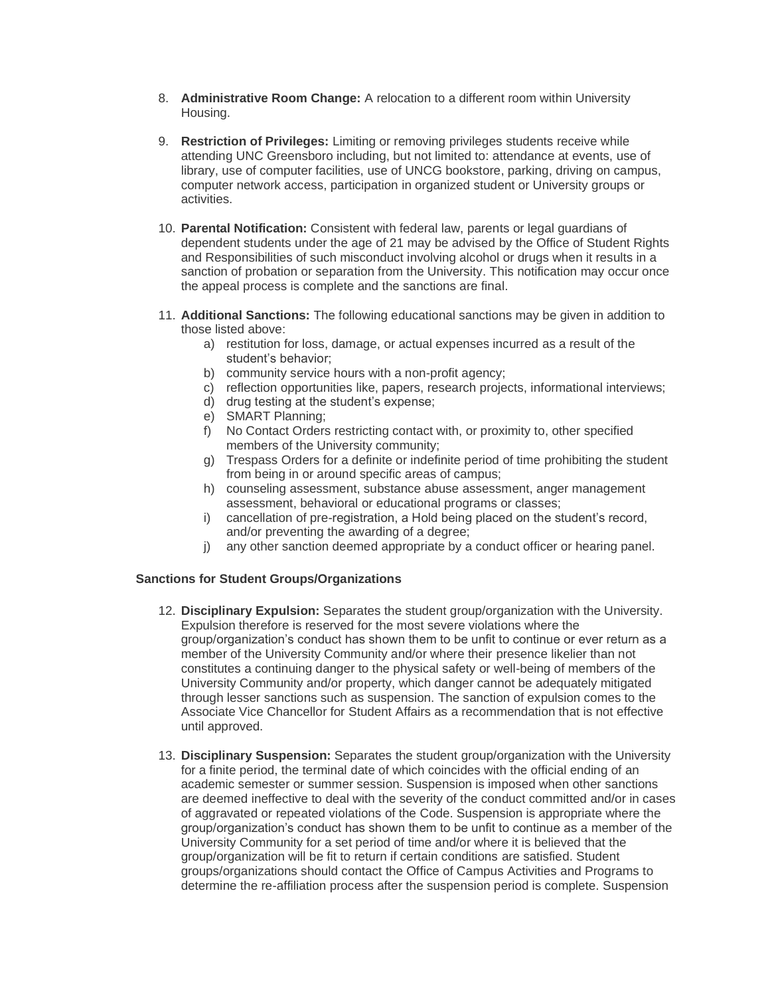- 8. **Administrative Room Change:** A relocation to a different room within University Housing.
- 9. **Restriction of Privileges:** Limiting or removing privileges students receive while attending UNC Greensboro including, but not limited to: attendance at events, use of library, use of computer facilities, use of UNCG bookstore, parking, driving on campus, computer network access, participation in organized student or University groups or activities.
- 10. **Parental Notification:** Consistent with federal law, parents or legal guardians of dependent students under the age of 21 may be advised by the Office of Student Rights and Responsibilities of such misconduct involving alcohol or drugs when it results in a sanction of probation or separation from the University. This notification may occur once the appeal process is complete and the sanctions are final.
- 11. **Additional Sanctions:** The following educational sanctions may be given in addition to those listed above:
	- a) restitution for loss, damage, or actual expenses incurred as a result of the student's behavior;
	- b) community service hours with a non-profit agency;
	- c) reflection opportunities like, papers, research projects, informational interviews;
	- d) drug testing at the student's expense;
	- e) SMART Planning;
	- f) No Contact Orders restricting contact with, or proximity to, other specified members of the University community;
	- g) Trespass Orders for a definite or indefinite period of time prohibiting the student from being in or around specific areas of campus;
	- h) counseling assessment, substance abuse assessment, anger management assessment, behavioral or educational programs or classes;
	- i) cancellation of pre-registration, a Hold being placed on the student's record, and/or preventing the awarding of a degree;
	- j) any other sanction deemed appropriate by a conduct officer or hearing panel.

#### **Sanctions for Student Groups/Organizations**

- 12. **Disciplinary Expulsion:** Separates the student group/organization with the University. Expulsion therefore is reserved for the most severe violations where the group/organization's conduct has shown them to be unfit to continue or ever return as a member of the University Community and/or where their presence likelier than not constitutes a continuing danger to the physical safety or well-being of members of the University Community and/or property, which danger cannot be adequately mitigated through lesser sanctions such as suspension. The sanction of expulsion comes to the Associate Vice Chancellor for Student Affairs as a recommendation that is not effective until approved.
- 13. **Disciplinary Suspension:** Separates the student group/organization with the University for a finite period, the terminal date of which coincides with the official ending of an academic semester or summer session. Suspension is imposed when other sanctions are deemed ineffective to deal with the severity of the conduct committed and/or in cases of aggravated or repeated violations of the Code. Suspension is appropriate where the group/organization's conduct has shown them to be unfit to continue as a member of the University Community for a set period of time and/or where it is believed that the group/organization will be fit to return if certain conditions are satisfied. Student groups/organizations should contact the Office of Campus Activities and Programs to determine the re-affiliation process after the suspension period is complete. Suspension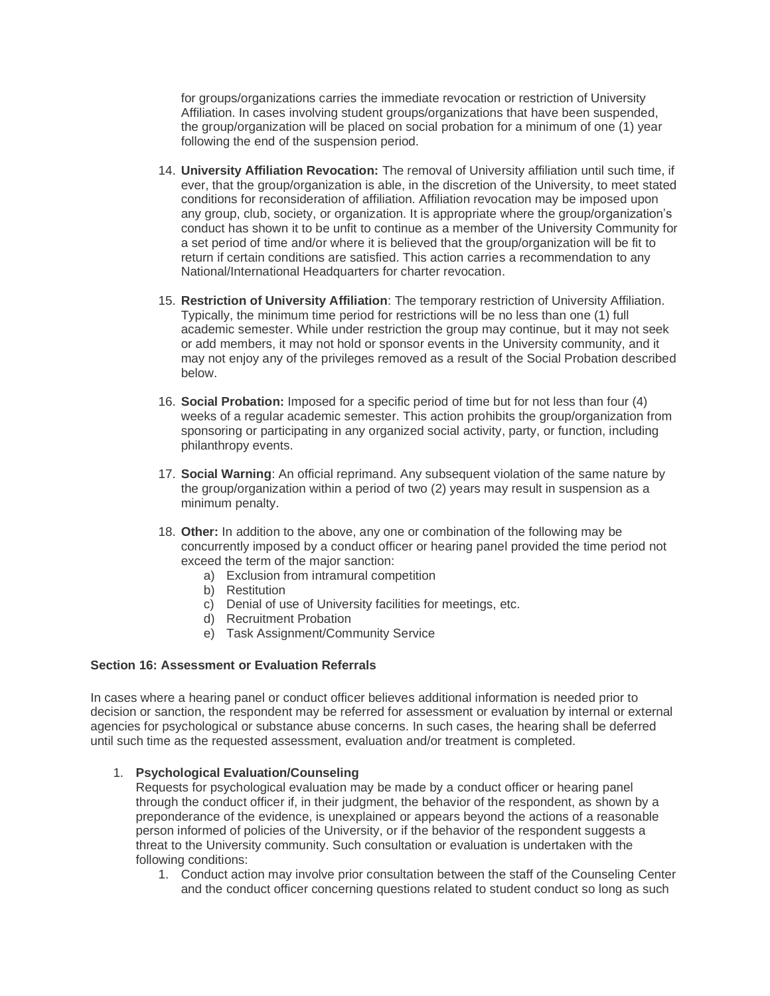for groups/organizations carries the immediate revocation or restriction of University Affiliation. In cases involving student groups/organizations that have been suspended, the group/organization will be placed on social probation for a minimum of one (1) year following the end of the suspension period.

- 14. **University Affiliation Revocation:** The removal of University affiliation until such time, if ever, that the group/organization is able, in the discretion of the University, to meet stated conditions for reconsideration of affiliation. Affiliation revocation may be imposed upon any group, club, society, or organization. It is appropriate where the group/organization's conduct has shown it to be unfit to continue as a member of the University Community for a set period of time and/or where it is believed that the group/organization will be fit to return if certain conditions are satisfied. This action carries a recommendation to any National/International Headquarters for charter revocation.
- 15. **Restriction of University Affiliation**: The temporary restriction of University Affiliation. Typically, the minimum time period for restrictions will be no less than one (1) full academic semester. While under restriction the group may continue, but it may not seek or add members, it may not hold or sponsor events in the University community, and it may not enjoy any of the privileges removed as a result of the Social Probation described below.
- 16. **Social Probation:** Imposed for a specific period of time but for not less than four (4) weeks of a regular academic semester. This action prohibits the group/organization from sponsoring or participating in any organized social activity, party, or function, including philanthropy events.
- 17. **Social Warning**: An official reprimand. Any subsequent violation of the same nature by the group/organization within a period of two (2) years may result in suspension as a minimum penalty.
- 18. **Other:** In addition to the above, any one or combination of the following may be concurrently imposed by a conduct officer or hearing panel provided the time period not exceed the term of the major sanction:
	- a) Exclusion from intramural competition
	- b) Restitution
	- c) Denial of use of University facilities for meetings, etc.
	- d) Recruitment Probation
	- e) Task Assignment/Community Service

## **Section 16: Assessment or Evaluation Referrals**

In cases where a hearing panel or conduct officer believes additional information is needed prior to decision or sanction, the respondent may be referred for assessment or evaluation by internal or external agencies for psychological or substance abuse concerns. In such cases, the hearing shall be deferred until such time as the requested assessment, evaluation and/or treatment is completed.

#### 1. **Psychological Evaluation/Counseling**

Requests for psychological evaluation may be made by a conduct officer or hearing panel through the conduct officer if, in their judgment, the behavior of the respondent, as shown by a preponderance of the evidence, is unexplained or appears beyond the actions of a reasonable person informed of policies of the University, or if the behavior of the respondent suggests a threat to the University community. Such consultation or evaluation is undertaken with the following conditions:

1. Conduct action may involve prior consultation between the staff of the Counseling Center and the conduct officer concerning questions related to student conduct so long as such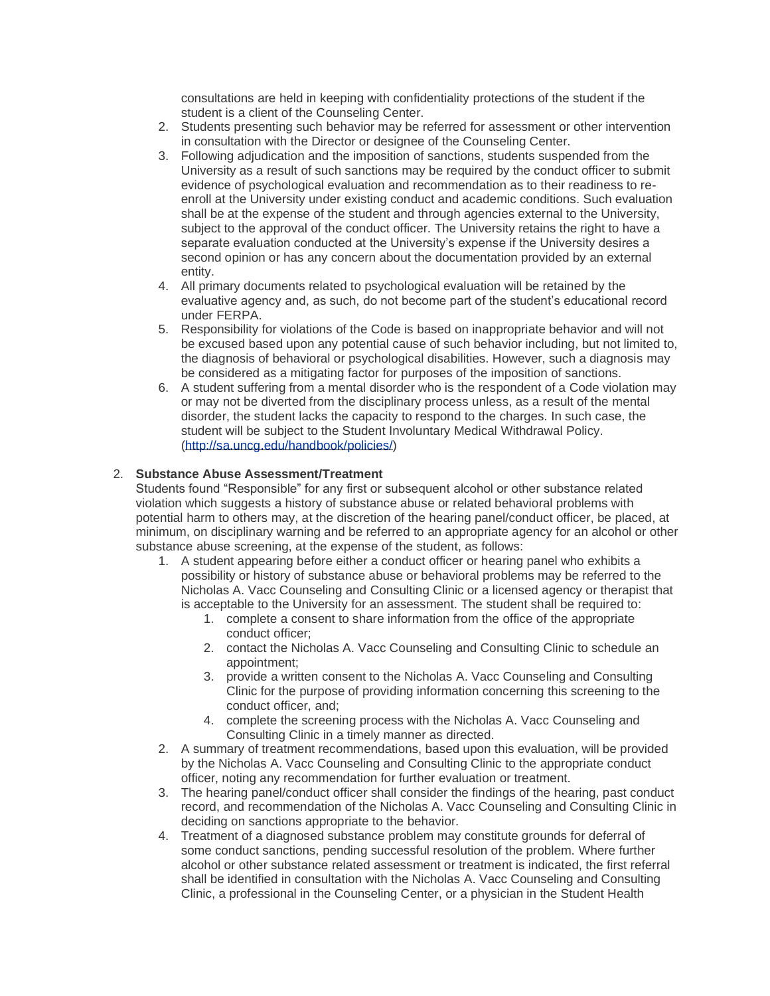consultations are held in keeping with confidentiality protections of the student if the student is a client of the Counseling Center.

- 2. Students presenting such behavior may be referred for assessment or other intervention in consultation with the Director or designee of the Counseling Center.
- 3. Following adjudication and the imposition of sanctions, students suspended from the University as a result of such sanctions may be required by the conduct officer to submit evidence of psychological evaluation and recommendation as to their readiness to reenroll at the University under existing conduct and academic conditions. Such evaluation shall be at the expense of the student and through agencies external to the University, subject to the approval of the conduct officer. The University retains the right to have a separate evaluation conducted at the University's expense if the University desires a second opinion or has any concern about the documentation provided by an external entity.
- 4. All primary documents related to psychological evaluation will be retained by the evaluative agency and, as such, do not become part of the student's educational record under FERPA.
- 5. Responsibility for violations of the Code is based on inappropriate behavior and will not be excused based upon any potential cause of such behavior including, but not limited to, the diagnosis of behavioral or psychological disabilities. However, such a diagnosis may be considered as a mitigating factor for purposes of the imposition of sanctions.
- 6. A student suffering from a mental disorder who is the respondent of a Code violation may or may not be diverted from the disciplinary process unless, as a result of the mental disorder, the student lacks the capacity to respond to the charges. In such case, the student will be subject to the Student Involuntary Medical Withdrawal Policy. [\(http://sa.uncg.edu/handbook/policies/\)](http://sa.uncg.edu/handbook/policies/)

# 2. **Substance Abuse Assessment/Treatment**

Students found "Responsible" for any first or subsequent alcohol or other substance related violation which suggests a history of substance abuse or related behavioral problems with potential harm to others may, at the discretion of the hearing panel/conduct officer, be placed, at minimum, on disciplinary warning and be referred to an appropriate agency for an alcohol or other substance abuse screening, at the expense of the student, as follows:

- 1. A student appearing before either a conduct officer or hearing panel who exhibits a possibility or history of substance abuse or behavioral problems may be referred to the Nicholas A. Vacc Counseling and Consulting Clinic or a licensed agency or therapist that is acceptable to the University for an assessment. The student shall be required to:
	- 1. complete a consent to share information from the office of the appropriate conduct officer;
	- 2. contact the Nicholas A. Vacc Counseling and Consulting Clinic to schedule an appointment;
	- 3. provide a written consent to the Nicholas A. Vacc Counseling and Consulting Clinic for the purpose of providing information concerning this screening to the conduct officer, and;
	- 4. complete the screening process with the Nicholas A. Vacc Counseling and Consulting Clinic in a timely manner as directed.
- 2. A summary of treatment recommendations, based upon this evaluation, will be provided by the Nicholas A. Vacc Counseling and Consulting Clinic to the appropriate conduct officer, noting any recommendation for further evaluation or treatment.
- 3. The hearing panel/conduct officer shall consider the findings of the hearing, past conduct record, and recommendation of the Nicholas A. Vacc Counseling and Consulting Clinic in deciding on sanctions appropriate to the behavior.
- 4. Treatment of a diagnosed substance problem may constitute grounds for deferral of some conduct sanctions, pending successful resolution of the problem. Where further alcohol or other substance related assessment or treatment is indicated, the first referral shall be identified in consultation with the Nicholas A. Vacc Counseling and Consulting Clinic, a professional in the Counseling Center, or a physician in the Student Health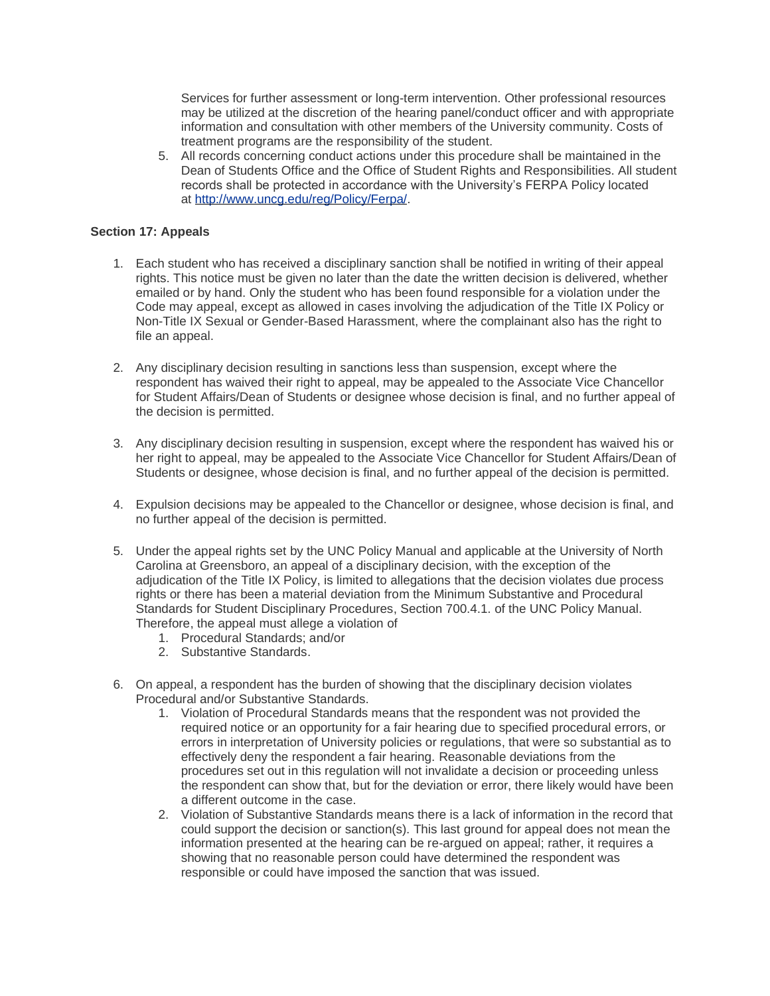Services for further assessment or long-term intervention. Other professional resources may be utilized at the discretion of the hearing panel/conduct officer and with appropriate information and consultation with other members of the University community. Costs of treatment programs are the responsibility of the student.

5. All records concerning conduct actions under this procedure shall be maintained in the Dean of Students Office and the Office of Student Rights and Responsibilities. All student records shall be protected in accordance with the University's FERPA Policy located at [http://www.uncg.edu/reg/Policy/Ferpa/.](http://www.uncg.edu/reg/Policy/Ferpa/)

## **Section 17: Appeals**

- 1. Each student who has received a disciplinary sanction shall be notified in writing of their appeal rights. This notice must be given no later than the date the written decision is delivered, whether emailed or by hand. Only the student who has been found responsible for a violation under the Code may appeal, except as allowed in cases involving the adjudication of the Title IX Policy or Non-Title IX Sexual or Gender-Based Harassment, where the complainant also has the right to file an appeal.
- 2. Any disciplinary decision resulting in sanctions less than suspension, except where the respondent has waived their right to appeal, may be appealed to the Associate Vice Chancellor for Student Affairs/Dean of Students or designee whose decision is final, and no further appeal of the decision is permitted.
- 3. Any disciplinary decision resulting in suspension, except where the respondent has waived his or her right to appeal, may be appealed to the Associate Vice Chancellor for Student Affairs/Dean of Students or designee, whose decision is final, and no further appeal of the decision is permitted.
- 4. Expulsion decisions may be appealed to the Chancellor or designee, whose decision is final, and no further appeal of the decision is permitted.
- 5. Under the appeal rights set by the UNC Policy Manual and applicable at the University of North Carolina at Greensboro, an appeal of a disciplinary decision, with the exception of the adjudication of the Title IX Policy, is limited to allegations that the decision violates due process rights or there has been a material deviation from the Minimum Substantive and Procedural Standards for Student Disciplinary Procedures, Section 700.4.1. of the UNC Policy Manual. Therefore, the appeal must allege a violation of
	- 1. Procedural Standards; and/or
	- 2. Substantive Standards.
- 6. On appeal, a respondent has the burden of showing that the disciplinary decision violates Procedural and/or Substantive Standards.
	- 1. Violation of Procedural Standards means that the respondent was not provided the required notice or an opportunity for a fair hearing due to specified procedural errors, or errors in interpretation of University policies or regulations, that were so substantial as to effectively deny the respondent a fair hearing. Reasonable deviations from the procedures set out in this regulation will not invalidate a decision or proceeding unless the respondent can show that, but for the deviation or error, there likely would have been a different outcome in the case.
	- 2. Violation of Substantive Standards means there is a lack of information in the record that could support the decision or sanction(s). This last ground for appeal does not mean the information presented at the hearing can be re-argued on appeal; rather, it requires a showing that no reasonable person could have determined the respondent was responsible or could have imposed the sanction that was issued.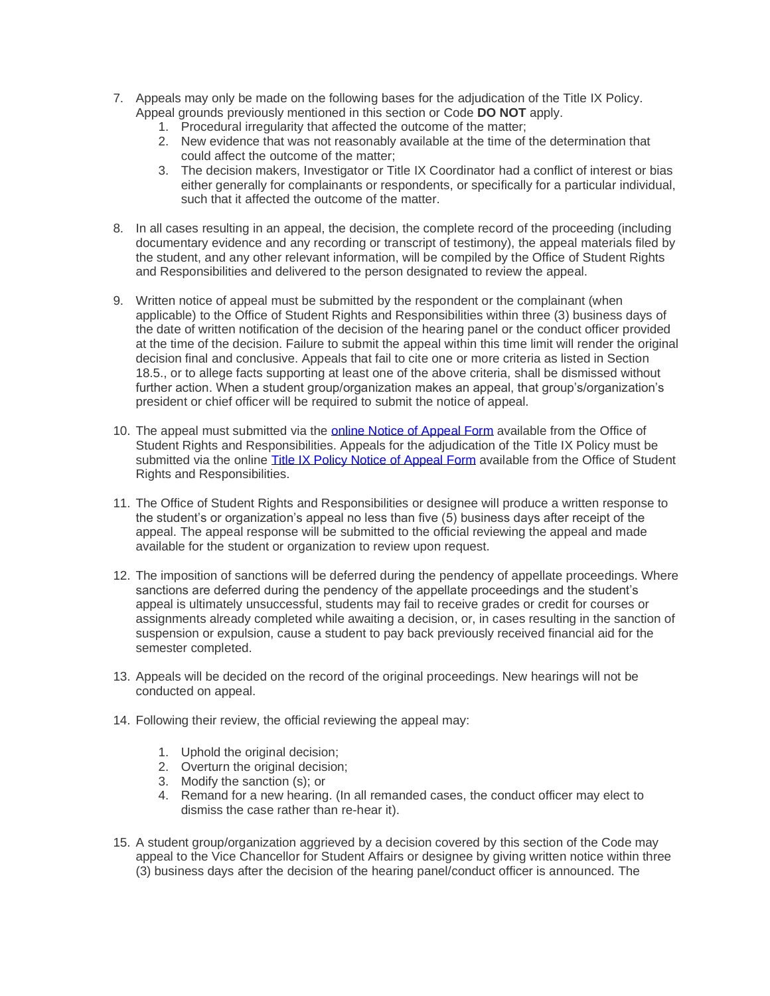- 7. Appeals may only be made on the following bases for the adjudication of the Title IX Policy. Appeal grounds previously mentioned in this section or Code **DO NOT** apply.
	- 1. Procedural irregularity that affected the outcome of the matter;
	- 2. New evidence that was not reasonably available at the time of the determination that could affect the outcome of the matter;
	- 3. The decision makers, Investigator or Title IX Coordinator had a conflict of interest or bias either generally for complainants or respondents, or specifically for a particular individual, such that it affected the outcome of the matter.
- 8. In all cases resulting in an appeal, the decision, the complete record of the proceeding (including documentary evidence and any recording or transcript of testimony), the appeal materials filed by the student, and any other relevant information, will be compiled by the Office of Student Rights and Responsibilities and delivered to the person designated to review the appeal.
- 9. Written notice of appeal must be submitted by the respondent or the complainant (when applicable) to the Office of Student Rights and Responsibilities within three (3) business days of the date of written notification of the decision of the hearing panel or the conduct officer provided at the time of the decision. Failure to submit the appeal within this time limit will render the original decision final and conclusive. Appeals that fail to cite one or more criteria as listed in Section 18.5., or to allege facts supporting at least one of the above criteria, shall be dismissed without further action. When a student group/organization makes an appeal, that group's/organization's president or chief officer will be required to submit the notice of appeal.
- 10. The appeal must submitted via the **online Notice of Appeal Form** available from the Office of Student Rights and Responsibilities. Appeals for the adjudication of the Title IX Policy must be submitted via the online [Title IX Policy Notice of Appeal Form](https://cm.maxient.com/reportingform.php?UNCGreensboro&layout_id=22) available from the Office of Student Rights and Responsibilities.
- 11. The Office of Student Rights and Responsibilities or designee will produce a written response to the student's or organization's appeal no less than five (5) business days after receipt of the appeal. The appeal response will be submitted to the official reviewing the appeal and made available for the student or organization to review upon request.
- 12. The imposition of sanctions will be deferred during the pendency of appellate proceedings. Where sanctions are deferred during the pendency of the appellate proceedings and the student's appeal is ultimately unsuccessful, students may fail to receive grades or credit for courses or assignments already completed while awaiting a decision, or, in cases resulting in the sanction of suspension or expulsion, cause a student to pay back previously received financial aid for the semester completed.
- 13. Appeals will be decided on the record of the original proceedings. New hearings will not be conducted on appeal.
- 14. Following their review, the official reviewing the appeal may:
	- 1. Uphold the original decision;
	- 2. Overturn the original decision;
	- 3. Modify the sanction (s); or
	- 4. Remand for a new hearing. (In all remanded cases, the conduct officer may elect to dismiss the case rather than re-hear it).
- 15. A student group/organization aggrieved by a decision covered by this section of the Code may appeal to the Vice Chancellor for Student Affairs or designee by giving written notice within three (3) business days after the decision of the hearing panel/conduct officer is announced. The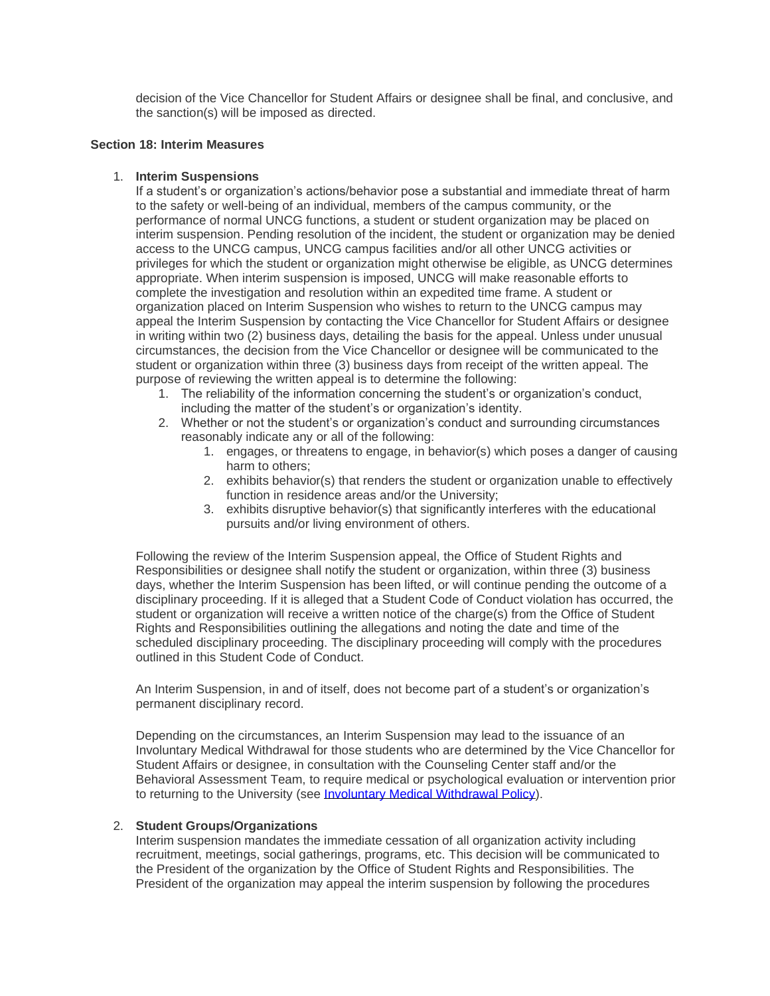decision of the Vice Chancellor for Student Affairs or designee shall be final, and conclusive, and the sanction(s) will be imposed as directed.

## **Section 18: Interim Measures**

#### 1. **Interim Suspensions**

If a student's or organization's actions/behavior pose a substantial and immediate threat of harm to the safety or well-being of an individual, members of the campus community, or the performance of normal UNCG functions, a student or student organization may be placed on interim suspension. Pending resolution of the incident, the student or organization may be denied access to the UNCG campus, UNCG campus facilities and/or all other UNCG activities or privileges for which the student or organization might otherwise be eligible, as UNCG determines appropriate. When interim suspension is imposed, UNCG will make reasonable efforts to complete the investigation and resolution within an expedited time frame. A student or organization placed on Interim Suspension who wishes to return to the UNCG campus may appeal the Interim Suspension by contacting the Vice Chancellor for Student Affairs or designee in writing within two (2) business days, detailing the basis for the appeal. Unless under unusual circumstances, the decision from the Vice Chancellor or designee will be communicated to the student or organization within three (3) business days from receipt of the written appeal. The purpose of reviewing the written appeal is to determine the following:

- 1. The reliability of the information concerning the student's or organization's conduct, including the matter of the student's or organization's identity.
- 2. Whether or not the student's or organization's conduct and surrounding circumstances reasonably indicate any or all of the following:
	- 1. engages, or threatens to engage, in behavior(s) which poses a danger of causing harm to others;
	- 2. exhibits behavior(s) that renders the student or organization unable to effectively function in residence areas and/or the University;
	- 3. exhibits disruptive behavior(s) that significantly interferes with the educational pursuits and/or living environment of others.

Following the review of the Interim Suspension appeal, the Office of Student Rights and Responsibilities or designee shall notify the student or organization, within three (3) business days, whether the Interim Suspension has been lifted, or will continue pending the outcome of a disciplinary proceeding. If it is alleged that a Student Code of Conduct violation has occurred, the student or organization will receive a written notice of the charge(s) from the Office of Student Rights and Responsibilities outlining the allegations and noting the date and time of the scheduled disciplinary proceeding. The disciplinary proceeding will comply with the procedures outlined in this Student Code of Conduct.

An Interim Suspension, in and of itself, does not become part of a student's or organization's permanent disciplinary record.

Depending on the circumstances, an Interim Suspension may lead to the issuance of an Involuntary Medical Withdrawal for those students who are determined by the Vice Chancellor for Student Affairs or designee, in consultation with the Counseling Center staff and/or the Behavioral Assessment Team, to require medical or psychological evaluation or intervention prior to returning to the University (see [Involuntary Medical Withdrawal Policy\)](http://sa.uncg.edu/handbook/wp-content/uploads/medical.pdf).

#### 2. **Student Groups/Organizations**

Interim suspension mandates the immediate cessation of all organization activity including recruitment, meetings, social gatherings, programs, etc. This decision will be communicated to the President of the organization by the Office of Student Rights and Responsibilities. The President of the organization may appeal the interim suspension by following the procedures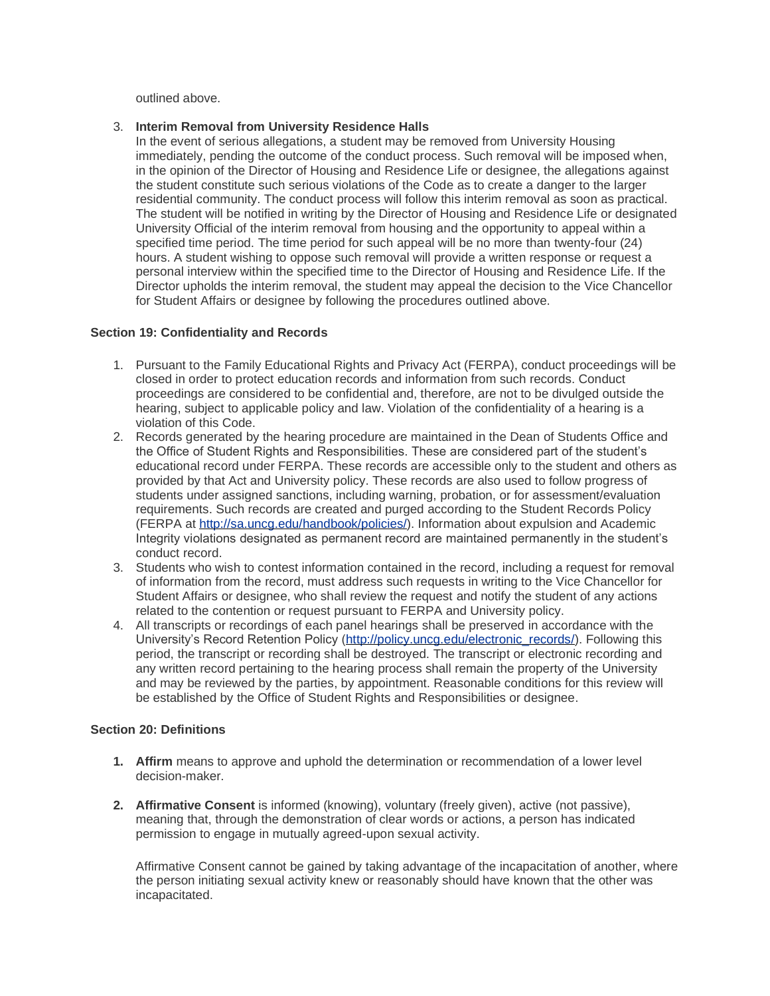outlined above.

## 3. **Interim Removal from University Residence Halls**

In the event of serious allegations, a student may be removed from University Housing immediately, pending the outcome of the conduct process. Such removal will be imposed when, in the opinion of the Director of Housing and Residence Life or designee, the allegations against the student constitute such serious violations of the Code as to create a danger to the larger residential community. The conduct process will follow this interim removal as soon as practical. The student will be notified in writing by the Director of Housing and Residence Life or designated University Official of the interim removal from housing and the opportunity to appeal within a specified time period. The time period for such appeal will be no more than twenty-four (24) hours. A student wishing to oppose such removal will provide a written response or request a personal interview within the specified time to the Director of Housing and Residence Life. If the Director upholds the interim removal, the student may appeal the decision to the Vice Chancellor for Student Affairs or designee by following the procedures outlined above.

## **Section 19: Confidentiality and Records**

- 1. Pursuant to the Family Educational Rights and Privacy Act (FERPA), conduct proceedings will be closed in order to protect education records and information from such records. Conduct proceedings are considered to be confidential and, therefore, are not to be divulged outside the hearing, subject to applicable policy and law. Violation of the confidentiality of a hearing is a violation of this Code.
- 2. Records generated by the hearing procedure are maintained in the Dean of Students Office and the Office of Student Rights and Responsibilities. These are considered part of the student's educational record under FERPA. These records are accessible only to the student and others as provided by that Act and University policy. These records are also used to follow progress of students under assigned sanctions, including warning, probation, or for assessment/evaluation requirements. Such records are created and purged according to the Student Records Policy (FERPA at [http://sa.uncg.edu/handbook/policies/\)](http://sa.uncg.edu/handbook/policies/). Information about expulsion and Academic Integrity violations designated as permanent record are maintained permanently in the student's conduct record.
- 3. Students who wish to contest information contained in the record, including a request for removal of information from the record, must address such requests in writing to the Vice Chancellor for Student Affairs or designee, who shall review the request and notify the student of any actions related to the contention or request pursuant to FERPA and University policy.
- 4. All transcripts or recordings of each panel hearings shall be preserved in accordance with the University's Record Retention Policy [\(http://policy.uncg.edu/electronic\\_records/\)](http://policy.uncg.edu/electronic_records/). Following this period, the transcript or recording shall be destroyed. The transcript or electronic recording and any written record pertaining to the hearing process shall remain the property of the University and may be reviewed by the parties, by appointment. Reasonable conditions for this review will be established by the Office of Student Rights and Responsibilities or designee.

# **Section 20: Definitions**

- **1. Affirm** means to approve and uphold the determination or recommendation of a lower level decision-maker.
- **2. Affirmative Consent** is informed (knowing), voluntary (freely given), active (not passive), meaning that, through the demonstration of clear words or actions, a person has indicated permission to engage in mutually agreed-upon sexual activity.

Affirmative Consent cannot be gained by taking advantage of the incapacitation of another, where the person initiating sexual activity knew or reasonably should have known that the other was incapacitated.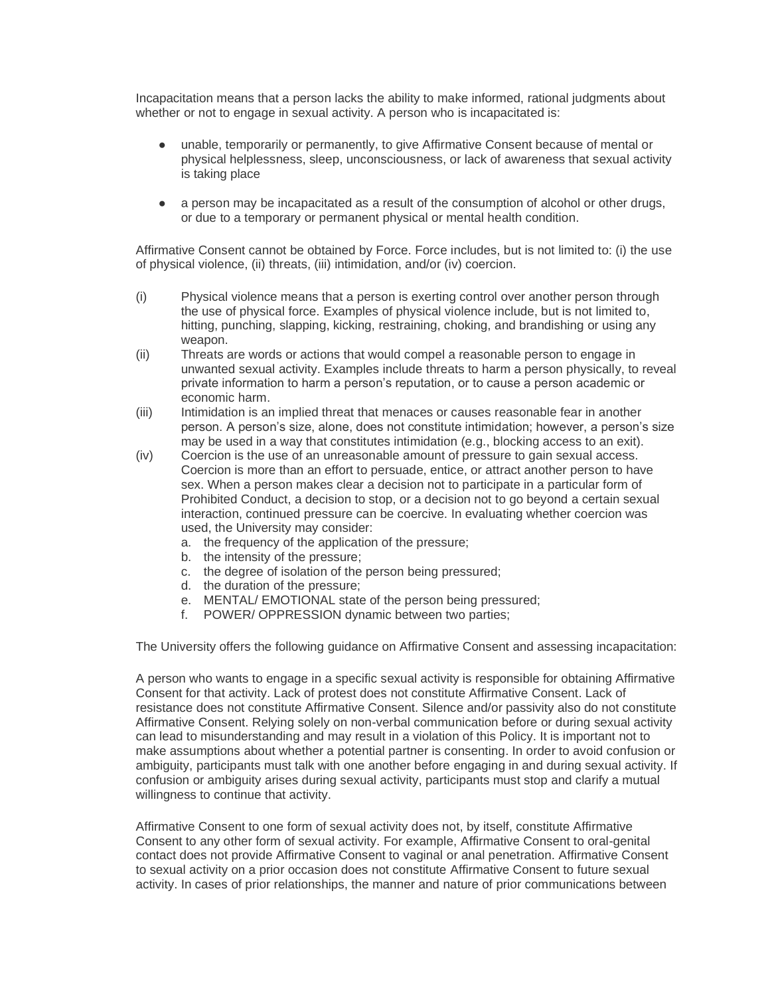Incapacitation means that a person lacks the ability to make informed, rational judgments about whether or not to engage in sexual activity. A person who is incapacitated is:

- unable, temporarily or permanently, to give Affirmative Consent because of mental or physical helplessness, sleep, unconsciousness, or lack of awareness that sexual activity is taking place
- a person may be incapacitated as a result of the consumption of alcohol or other drugs, or due to a temporary or permanent physical or mental health condition.

Affirmative Consent cannot be obtained by Force. Force includes, but is not limited to: (i) the use of physical violence, (ii) threats, (iii) intimidation, and/or (iv) coercion.

- (i) Physical violence means that a person is exerting control over another person through the use of physical force. Examples of physical violence include, but is not limited to, hitting, punching, slapping, kicking, restraining, choking, and brandishing or using any weapon.
- (ii) Threats are words or actions that would compel a reasonable person to engage in unwanted sexual activity. Examples include threats to harm a person physically, to reveal private information to harm a person's reputation, or to cause a person academic or economic harm.
- (iii) Intimidation is an implied threat that menaces or causes reasonable fear in another person. A person's size, alone, does not constitute intimidation; however, a person's size may be used in a way that constitutes intimidation (e.g., blocking access to an exit).
- (iv) Coercion is the use of an unreasonable amount of pressure to gain sexual access. Coercion is more than an effort to persuade, entice, or attract another person to have sex. When a person makes clear a decision not to participate in a particular form of Prohibited Conduct, a decision to stop, or a decision not to go beyond a certain sexual interaction, continued pressure can be coercive. In evaluating whether coercion was used, the University may consider:
	- a. the frequency of the application of the pressure;
	- b. the intensity of the pressure;
	- c. the degree of isolation of the person being pressured;
	- d. the duration of the pressure;
	- e. MENTAL/ EMOTIONAL state of the person being pressured;
	- f. POWER/ OPPRESSION dynamic between two parties;

The University offers the following guidance on Affirmative Consent and assessing incapacitation:

A person who wants to engage in a specific sexual activity is responsible for obtaining Affirmative Consent for that activity. Lack of protest does not constitute Affirmative Consent. Lack of resistance does not constitute Affirmative Consent. Silence and/or passivity also do not constitute Affirmative Consent. Relying solely on non-verbal communication before or during sexual activity can lead to misunderstanding and may result in a violation of this Policy. It is important not to make assumptions about whether a potential partner is consenting. In order to avoid confusion or ambiguity, participants must talk with one another before engaging in and during sexual activity. If confusion or ambiguity arises during sexual activity, participants must stop and clarify a mutual willingness to continue that activity.

Affirmative Consent to one form of sexual activity does not, by itself, constitute Affirmative Consent to any other form of sexual activity. For example, Affirmative Consent to oral-genital contact does not provide Affirmative Consent to vaginal or anal penetration. Affirmative Consent to sexual activity on a prior occasion does not constitute Affirmative Consent to future sexual activity. In cases of prior relationships, the manner and nature of prior communications between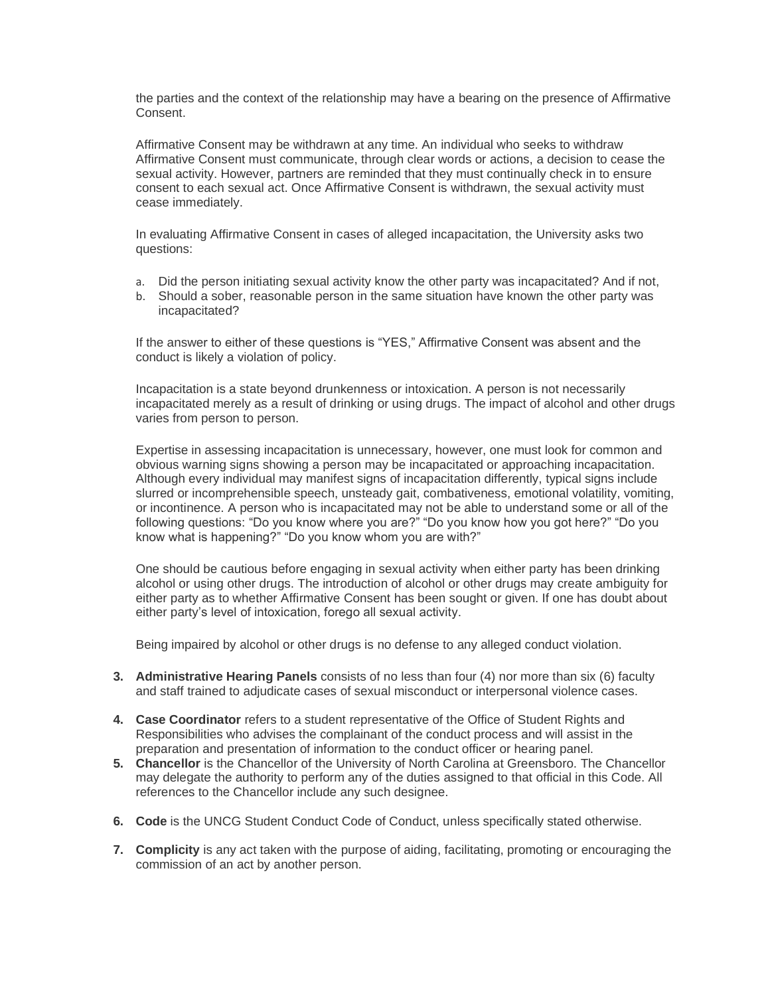the parties and the context of the relationship may have a bearing on the presence of Affirmative Consent.

Affirmative Consent may be withdrawn at any time. An individual who seeks to withdraw Affirmative Consent must communicate, through clear words or actions, a decision to cease the sexual activity. However, partners are reminded that they must continually check in to ensure consent to each sexual act. Once Affirmative Consent is withdrawn, the sexual activity must cease immediately.

In evaluating Affirmative Consent in cases of alleged incapacitation, the University asks two questions:

- a. Did the person initiating sexual activity know the other party was incapacitated? And if not,
- b. Should a sober, reasonable person in the same situation have known the other party was incapacitated?

If the answer to either of these questions is "YES," Affirmative Consent was absent and the conduct is likely a violation of policy.

Incapacitation is a state beyond drunkenness or intoxication. A person is not necessarily incapacitated merely as a result of drinking or using drugs. The impact of alcohol and other drugs varies from person to person.

Expertise in assessing incapacitation is unnecessary, however, one must look for common and obvious warning signs showing a person may be incapacitated or approaching incapacitation. Although every individual may manifest signs of incapacitation differently, typical signs include slurred or incomprehensible speech, unsteady gait, combativeness, emotional volatility, vomiting, or incontinence. A person who is incapacitated may not be able to understand some or all of the following questions: "Do you know where you are?" "Do you know how you got here?" "Do you know what is happening?" "Do you know whom you are with?"

One should be cautious before engaging in sexual activity when either party has been drinking alcohol or using other drugs. The introduction of alcohol or other drugs may create ambiguity for either party as to whether Affirmative Consent has been sought or given. If one has doubt about either party's level of intoxication, forego all sexual activity.

Being impaired by alcohol or other drugs is no defense to any alleged conduct violation.

- **3. Administrative Hearing Panels** consists of no less than four (4) nor more than six (6) faculty and staff trained to adjudicate cases of sexual misconduct or interpersonal violence cases.
- **4. Case Coordinator** refers to a student representative of the Office of Student Rights and Responsibilities who advises the complainant of the conduct process and will assist in the preparation and presentation of information to the conduct officer or hearing panel.
- **5. Chancellor** is the Chancellor of the University of North Carolina at Greensboro. The Chancellor may delegate the authority to perform any of the duties assigned to that official in this Code. All references to the Chancellor include any such designee.
- **6. Code** is the UNCG Student Conduct Code of Conduct, unless specifically stated otherwise.
- **7. Complicity** is any act taken with the purpose of aiding, facilitating, promoting or encouraging the commission of an act by another person.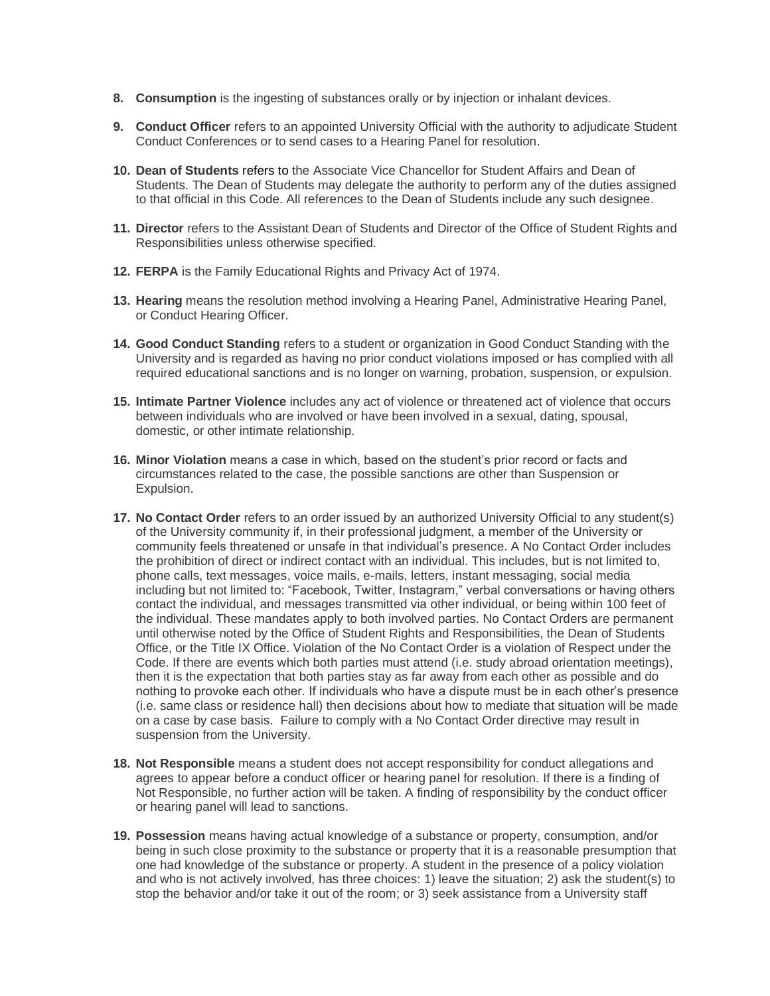- **8. Consumption** is the ingesting of substances orally or by injection or inhalant devices.
- **9. Conduct Officer** refers to an appointed University Official with the authority to adjudicate Student Conduct Conferences or to send cases to a Hearing Panel for resolution.
- **10. Dean of Students** refers to the Associate Vice Chancellor for Student Affairs and Dean of Students. The Dean of Students may delegate the authority to perform any of the duties assigned to that official in this Code. All references to the Dean of Students include any such designee.
- **11. Director** refers to the Assistant Dean of Students and Director of the Office of Student Rights and Responsibilities unless otherwise specified.
- **12. FERPA** is the Family Educational Rights and Privacy Act of 1974.
- **13. Hearing** means the resolution method involving a Hearing Panel, Administrative Hearing Panel, or Conduct Hearing Officer.
- **14. Good Conduct Standing** refers to a student or organization in Good Conduct Standing with the University and is regarded as having no prior conduct violations imposed or has complied with all required educational sanctions and is no longer on warning, probation, suspension, or expulsion.
- **15. Intimate Partner Violence** includes any act of violence or threatened act of violence that occurs between individuals who are involved or have been involved in a sexual, dating, spousal, domestic, or other intimate relationship.
- **16. Minor Violation** means a case in which, based on the student's prior record or facts and circumstances related to the case, the possible sanctions are other than Suspension or Expulsion.
- **17. No Contact Order** refers to an order issued by an authorized University Official to any student(s) of the University community if, in their professional judgment, a member of the University or community feels threatened or unsafe in that individual's presence. A No Contact Order includes the prohibition of direct or indirect contact with an individual. This includes, but is not limited to, phone calls, text messages, voice mails, e-mails, letters, instant messaging, social media including but not limited to: "Facebook, Twitter, Instagram," verbal conversations or having others contact the individual, and messages transmitted via other individual, or being within 100 feet of the individual. These mandates apply to both involved parties. No Contact Orders are permanent until otherwise noted by the Office of Student Rights and Responsibilities, the Dean of Students Office, or the Title IX Office. Violation of the No Contact Order is a violation of Respect under the Code. If there are events which both parties must attend (i.e. study abroad orientation meetings), then it is the expectation that both parties stay as far away from each other as possible and do nothing to provoke each other. If individuals who have a dispute must be in each other's presence (i.e. same class or residence hall) then decisions about how to mediate that situation will be made on a case by case basis. Failure to comply with a No Contact Order directive may result in suspension from the University.
- **18. Not Responsible** means a student does not accept responsibility for conduct allegations and agrees to appear before a conduct officer or hearing panel for resolution. If there is a finding of Not Responsible, no further action will be taken. A finding of responsibility by the conduct officer or hearing panel will lead to sanctions.
- **19. Possession** means having actual knowledge of a substance or property, consumption, and/or being in such close proximity to the substance or property that it is a reasonable presumption that one had knowledge of the substance or property. A student in the presence of a policy violation and who is not actively involved, has three choices: 1) leave the situation; 2) ask the student(s) to stop the behavior and/or take it out of the room; or 3) seek assistance from a University staff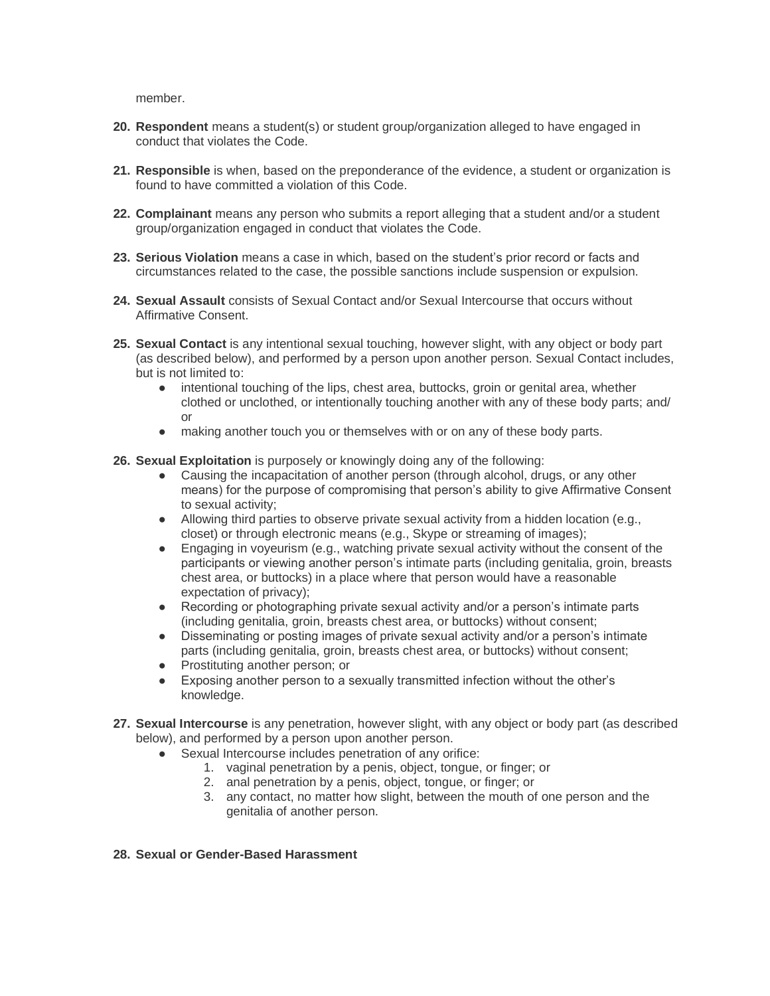member.

- **20. Respondent** means a student(s) or student group/organization alleged to have engaged in conduct that violates the Code.
- **21. Responsible** is when, based on the preponderance of the evidence, a student or organization is found to have committed a violation of this Code.
- **22. Complainant** means any person who submits a report alleging that a student and/or a student group/organization engaged in conduct that violates the Code.
- **23. Serious Violation** means a case in which, based on the student's prior record or facts and circumstances related to the case, the possible sanctions include suspension or expulsion.
- **24. Sexual Assault** consists of Sexual Contact and/or Sexual Intercourse that occurs without Affirmative Consent.
- **25. Sexual Contact** is any intentional sexual touching, however slight, with any object or body part (as described below), and performed by a person upon another person. Sexual Contact includes, but is not limited to:
	- intentional touching of the lips, chest area, buttocks, groin or genital area, whether clothed or unclothed, or intentionally touching another with any of these body parts; and/ or
	- making another touch you or themselves with or on any of these body parts.
- **26. Sexual Exploitation** is purposely or knowingly doing any of the following:
	- Causing the incapacitation of another person (through alcohol, drugs, or any other means) for the purpose of compromising that person's ability to give Affirmative Consent to sexual activity;
	- Allowing third parties to observe private sexual activity from a hidden location (e.g., closet) or through electronic means (e.g., Skype or streaming of images);
	- Engaging in voyeurism (e.g., watching private sexual activity without the consent of the participants or viewing another person's intimate parts (including genitalia, groin, breasts chest area, or buttocks) in a place where that person would have a reasonable expectation of privacy);
	- Recording or photographing private sexual activity and/or a person's intimate parts (including genitalia, groin, breasts chest area, or buttocks) without consent;
	- Disseminating or posting images of private sexual activity and/or a person's intimate parts (including genitalia, groin, breasts chest area, or buttocks) without consent;
	- Prostituting another person; or
	- Exposing another person to a sexually transmitted infection without the other's knowledge.
- **27. Sexual Intercourse** is any penetration, however slight, with any object or body part (as described below), and performed by a person upon another person.
	- Sexual Intercourse includes penetration of any orifice:
		- 1. vaginal penetration by a penis, object, tongue, or finger; or
		- 2. anal penetration by a penis, object, tongue, or finger; or
		- 3. any contact, no matter how slight, between the mouth of one person and the genitalia of another person.

#### **28. Sexual or Gender-Based Harassment**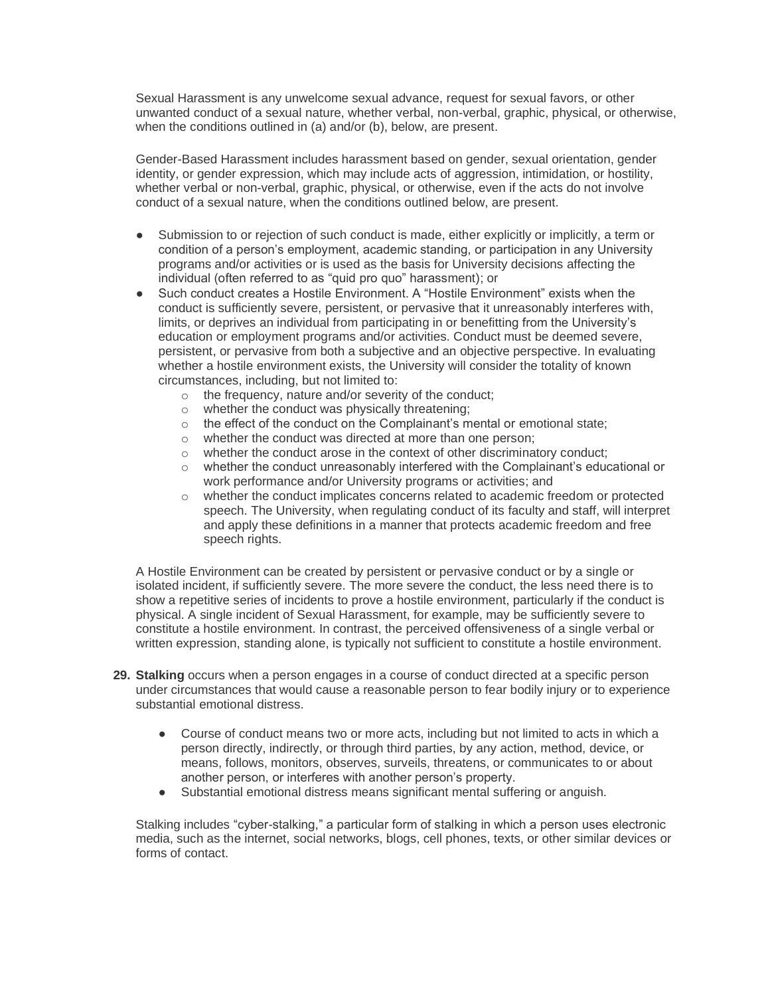Sexual Harassment is any unwelcome sexual advance, request for sexual favors, or other unwanted conduct of a sexual nature, whether verbal, non-verbal, graphic, physical, or otherwise, when the conditions outlined in (a) and/or (b), below, are present.

Gender-Based Harassment includes harassment based on gender, sexual orientation, gender identity, or gender expression, which may include acts of aggression, intimidation, or hostility, whether verbal or non-verbal, graphic, physical, or otherwise, even if the acts do not involve conduct of a sexual nature, when the conditions outlined below, are present.

- Submission to or rejection of such conduct is made, either explicitly or implicitly, a term or condition of a person's employment, academic standing, or participation in any University programs and/or activities or is used as the basis for University decisions affecting the individual (often referred to as "quid pro quo" harassment); or
- Such conduct creates a Hostile Environment. A "Hostile Environment" exists when the conduct is sufficiently severe, persistent, or pervasive that it unreasonably interferes with, limits, or deprives an individual from participating in or benefitting from the University's education or employment programs and/or activities. Conduct must be deemed severe, persistent, or pervasive from both a subjective and an objective perspective. In evaluating whether a hostile environment exists, the University will consider the totality of known circumstances, including, but not limited to:
	- o the frequency, nature and/or severity of the conduct;
	- o whether the conduct was physically threatening;
	- o the effect of the conduct on the Complainant's mental or emotional state;
	- o whether the conduct was directed at more than one person;
	- o whether the conduct arose in the context of other discriminatory conduct;
	- $\circ$  whether the conduct unreasonably interfered with the Complainant's educational or work performance and/or University programs or activities; and
	- o whether the conduct implicates concerns related to academic freedom or protected speech. The University, when regulating conduct of its faculty and staff, will interpret and apply these definitions in a manner that protects academic freedom and free speech rights.

A Hostile Environment can be created by persistent or pervasive conduct or by a single or isolated incident, if sufficiently severe. The more severe the conduct, the less need there is to show a repetitive series of incidents to prove a hostile environment, particularly if the conduct is physical. A single incident of Sexual Harassment, for example, may be sufficiently severe to constitute a hostile environment. In contrast, the perceived offensiveness of a single verbal or written expression, standing alone, is typically not sufficient to constitute a hostile environment.

- **29. Stalking** occurs when a person engages in a course of conduct directed at a specific person under circumstances that would cause a reasonable person to fear bodily injury or to experience substantial emotional distress.
	- Course of conduct means two or more acts, including but not limited to acts in which a person directly, indirectly, or through third parties, by any action, method, device, or means, follows, monitors, observes, surveils, threatens, or communicates to or about another person, or interferes with another person's property.
	- Substantial emotional distress means significant mental suffering or anguish.

Stalking includes "cyber-stalking," a particular form of stalking in which a person uses electronic media, such as the internet, social networks, blogs, cell phones, texts, or other similar devices or forms of contact.